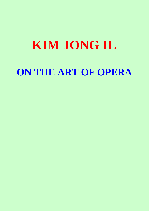# **KIM JONG IL ON THE ART OF OPERA**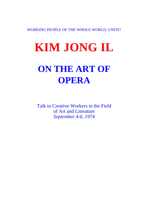WORKING PEOPLE OF THE WHOLE WORLD, UNITE!

# **KIM JONG IL**

# **ON THE ART OF OPERA**

Talk to Creative Workers in the Field of Art and Literature *September 4-6, 1974*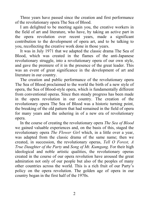Three years have passed since the creation and first performance of the revolutionary opera The Sea of Blood.

I am delighted to be meeting again you, the creative workers in the field of art and literature, who have, by taking an active part in the opera revolution over recent years, made a significant contribution to the development of opera art, and to be talking to you, recollecting the creative work done in those years.

It was in July 1971 that we adapted the classic drama The Sea of Blood, which was created in the flames of the anti-Japanese revolutionary struggle, into a revolutionary opera of our own style, and gave the premiere of it in the presence of the great leader. This was an event of great significance in the development of art and literature in our country.

The creation and public performance of the revolutionary opera The Sea of Blood proclaimed to the world the birth of a new style of opera, the Sea of Blood-style opera, which is fundamentally different from conventional operas. Since then steady progress has been made in the opera revolution in our country. The creation of the revolutionary opera The Sea of Blood was a historic turning point, the breaking of the old pattern that had remained in the field of opera for many years and the ushering in of a new era of revolutionary opera.

In the course of creating the revolutionary opera *The Sea of Blood* we gained valuable experiences and, on the basis of this, staged the revolutionary opera *The Flower Girl* which, in a little over a year, was adapted from the classic drama of the same name; then we created, in succession, the revolutionary operas, *Tell O Forest, A True Daughter of the Party* and *Song of Mt. Kumgang.* For their high ideological and noble artistic qualities, the revolutionary operas created in the course of our opera revolution have aroused the great admiration not only of our people but also of the peoples of many other countries across the world. This is a rich fruit of our Party's policy on the opera revolution. The golden age of opera in our country began in the first half of the 1970s.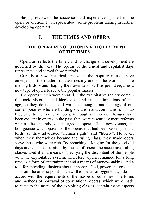Having reviewed the successes and experiences gained in the opera revolution, I will speak about some problems arising in further developing opera art.

# **I. THE TIMES AND OPERA**

# **1) THE OPERA REVOLUTION IS A REQUIREMENT OF THE TIMES**

Opera art reflects the times, and its change and development are governed by the era. The operas of the feudal and capitalist days represented and served those periods.

Ours is a new historical era when the popular masses have emerged as the masters of their destiny and of the world and are making history and shaping their own destiny. This period requires a new type of opera to serve the popular masses.

The operas which were created in the exploitative society contain the socio-historical and ideological and artistic limitations of that age, so they do not accord with the thoughts and feelings of our contemporaries who are building socialism and communism, nor do they cater to their cultural needs. Although a number of changes have been evident in operas in the past, they were essentially mere reforms within the bounds of bourgeois opera. The newly-emergent bourgeoisie was opposed to the operas that had been serving feudal lords, so they advocated "human rights" and "liberty". However, when they themselves became the ruling class, they made opera serve those who were rich. By preaching a longing for the good old days and class cooperation by means of opera, the successive ruling classes used it as a means of pacifying the discontent of the people with the exploitative system. Therefore, opera remained for a long time as a form of entertainment and a means of money-making, and a tool for spreading illusions about emperors, God, power and gold.

From the artistic point of view, the operas of bygone days do not accord with the requirements of the masses of our times. The forms and methods of portrayal of conventional operas, which were made to cater to the tastes of the exploiting classes, contain many aspects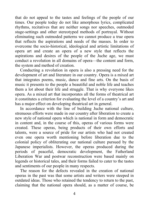that do not appeal to the tastes and feelings of the people of our times. Our people today do not like amorphous lyrics, complicated rhythms, recitatives that are neither songs nor speeches, outmoded stage-settings and other stereotyped methods of portrayal. Without eliminating such outmoded patterns we cannot produce a true opera that reflects the aspirations and needs of the masses. In order to overcome the socio-historical, ideological and artistic limitations of opera art and create an opera of a new style that reflects the aspirations and desires of the people of the Juche age, we must conduct a revolution in all domains of opera—the content and form, the system and method of creation.

Conducting a revolution in opera is also a pressing need for the development of art and literature in our country. Opera is a mixed art that integrates poems, music, dance and fine arts. On the basis of music it presents to the people a beautiful and noble life and teaches them a lot about their life and struggle. That is why everyone likes opera. As a mixed art that incorporates all the forms of theatrical art it constitutes a criterion for evaluating the level of a country's art and has a major effect on developing theatrical art in general.

In accordance with the line of building Juche national culture, strenuous efforts were made in our country after liberation to create a new style of national opera which is national in form and democratic in content and, in the course of this, operas of various forms were created. These operas, being products of their own efforts and talents, were a source of pride for our artists who had not created even one opera worth mentioning before liberation due to the colonial policy of obliterating our national culture pursued by the Japanese imperialists. However, the operas produced during the periods of peaceful, democratic development, the Fatherland Liberation War and postwar reconstruction were based mainly on legends or historical tales, and their forms failed to cater to the tastes and sentiments of our people in many respects.

The reason for the defects revealed in the creation of national operas in the past was that some artists and writers were steeped in outdated ideas. Those who retained the tendency to return to the past, claiming that the national opera should, as a matter of course, be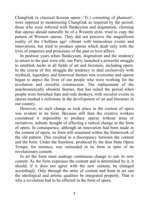ChangGuk (a classical Korean opera—Tr.) consisting of phansori<sup>1</sup>, were opposed to modernizing ChangGuk as required by the period; those who were infected with flunkeyism and dogmatism, claiming that operas should naturally be of a Western style, tried to copy the pattern of Western operas. They did not perceive the magnificent reality of the Chollima age² vibrant with miraculous events and innovations, but tried to produce operas which dealt only with the lives of emperors and princesses of the past or love affairs.

In postwar years when flunkeyism, dogmatism and the tendency to return to the past were rife, our Party launched a powerful struggle to establish Juche in all fields of art and literature, including opera. In the course of this struggle the tendency to deal exclusively with mythical, legendary and historical themes was overcome and operas began to depict the lives of our people who were working for the revolution and socialist construction. The replacement of the anachronistically obsolete themes, that has suited the period when people wore horsehair hats and rode donkeys, with socialist events in operas marked a milestone in the development of art and literature in our country.

However, no such change as took place in the content of opera was evident in its form. Because still then the creative workers considered it impossible to produce operas without arias or recitatives, nobody thought of effecting a radical change in the form of opera. In consequence, although an innovation had been made in the content of opera, its form still remained within the framework of the old pattern. This resulted in a discrepancy between the content and the form. Under the Sunshine, produced by the then State Opera Troupe, for instance, was outmoded in its form in spite of its revolutionary content.

In art the form must undergo continuous change to suit its new content. As the form expresses the content and is determined by it, it should, if it does not agree with the new content, be changed accordingly. Only through the unity of content and form in art can the ideological and artistic qualities be integrated properly. That is why a revolution had to be effected in the form of opera.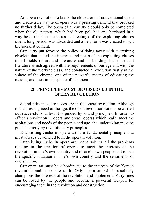An opera revolution to break the old pattern of conventional opera and create a new style of opera was a pressing demand that brooked no further delay. The opera of a new style could only be completed when the old pattern, which had been polished and hardened in a way best suited to the tastes and feelings of the exploiting classes over a long period, was discarded and a new form was created to suit the socialist content.

Our Party put forward the policy of doing away with everything obsolete that suited the interests and tastes of the exploiting classes in all fields of art and literature and of building Juche art and literature which agreed with the requirements of our age and with the nature of the working class, and conducted a revolution firstly in the sphere of the cinema, one of the powerful means of educating the masses, and then in the sphere of the opera.

### **2) PRINCIPLES MUST BE OBSERVED IN THE OPERA REVOLUTION**

Sound principles are necessary in the opera revolution. Although it is a pressing need of the age, the opera revolution cannot be carried out successfully unless it is guided by sound principles. In order to effect a revolution in opera and create operas which really meet the aspirations and needs of the people and age, the undertaking must be guided strictly by revolutionary principles.

Establishing Juche in opera art is a fundamental principle that must always be adhered to in the opera revolution.

Establishing Juche in opera art means solving all the problems relating to the creation of operas to meet the interests of the revolution in one's own country and of one's own people and to suit the specific situation in one's own country and the sentiments of one's nation.

Our opera art must be subordinated to the interests of the Korean revolution and contribute to it. Only opera art which resolutely champions the interests of the revolution and implements Party lines can be loved by the people and become a powerful weapon for encouraging them in the revolution and construction.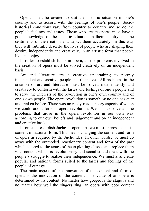Operas must be created to suit the specific situation in one's country and to accord with the feelings of one's people. Sociohistorical conditions vary from country to country and so do the people's feelings and tastes. Those who create operas must have a good knowledge of the specific situation in their country and the sentiments of their nation and depict them accurately. In this way they will truthfully describe the lives of people who are shaping their destiny independently and creatively, in an artistic form that people like and enjoy.

In order to establish Juche in opera, all the problems involved in the creation of opera must be solved creatively on an independent basis.

Art and literature are a creative undertaking to portray independent and creative people and their lives. All problems in the creation of art and literature must be solved independently and creatively to conform with the tastes and feelings of one's people and to serve the interests of the revolution in one's own country and of one's own people. The opera revolution is something no one has ever undertaken before. There was no ready-made theory aspects of which we could adopt for our opera revolution. We had to solve all the problems that arose in the opera revolution in our own way according to our own beliefs and judgement and on an independent and creative basis.

In order to establish Juche in opera art, we must express socialist content in national form. This means changing the content and form of opera as required by the Juche idea. In other words, we must do away with the outmoded, reactionary content and form of the past which catered to the tastes of the exploiting classes and replace them with content which is revolutionary and socialist and deals with the people's struggle to realize their independence. We must also create popular and national forms suited to the tastes and feelings of the people of our age.

The main aspect of the innovation of the content and form of opera is the innovation of the content. The value of an opera is determined by its content. No matter how gorgeous the stage is and no matter how well the singers sing, an opera with poor content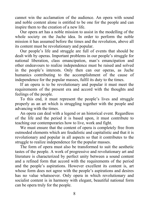cannot win the acclamation of the audience. An opera with sound and noble content alone is entitled to be one for the people and can inspire them to the creation of a new life.

Our opera art has a noble mission to assist in the modelling of the whole society on the Juche idea. In order to perform the noble mission it has assumed before the times and the revolution, above all its content must be revolutionary and popular.

Our people's life and struggle are full of events that should be dealt with by operas. Important problems in our people's struggle for national liberation, class emancipation, man's emancipation and other endeavours to realize independence must be raised and solved in the people's interests. Only then can our operas, as Juche humanics contributing to the accomplishment of the cause of independence for the popular masses, fulfil its duty to the times.

If an opera is to be revolutionary and popular it must meet the requirements of the present era and accord with the thoughts and feelings of the people.

To this end, it must represent the people's lives and struggle properly as an art which is struggling together with the people and advancing with the times.

An opera can deal with a legend or an historical event. Regardless of the life and the period it is based upon, it must contribute to teaching our contemporaries how to live, work and fight.

We must ensure that the content of opera is completely free from outmoded elements which are feudalistic and capitalistic and that it is revolutionary and popular in all aspects so that it contributes to the struggle to realize independence for the popular masses.

The form of opera must also be transformed to suit the aesthetic tastes of the people. A work of progressive and revolutionary art and literature is characterized by perfect unity between a sound content and a refined form that accord with the requirements of the period and the people's aspirations. However excellent its content is, art whose form does not agree with the people's aspirations and desires has no value whatsoever. Only opera in which revolutionary and socialist content is in harmony with elegant, beautiful national form can be opera truly for the people.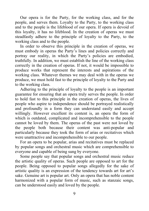Our opera is for the Party, for the working class, and for the people, and serves them. Loyalty to the Party, to the working class and to the people is the lifeblood of our opera. If opera is devoid of this loyalty, it has no lifeblood. In the creation of operas we must steadfastly adhere to the principle of loyalty to the Party, to the working class and to the people.

In order to observe this principle in the creation of operas, we must embody in operas the Party's lines and policies correctly and portray our reality, in which the Party's policies are embodied, truthfully. In addition, we must establish the line of the working class correctly in the creation of operas. If not, it would be impossible to produce works that represent the interests and aspirations of the working class. Whatever themes we may deal with in the operas we produce, we must hold fast to the principle of loyalty to the Party and to the working class.

Adhering to the principle of loyalty to the people is an important guarantee for ensuring that an opera truly serves the people. In order to hold fast to this principle in the creation of operas, the lives of people who aspire to independence should be portrayed realistically and profoundly in a form they can understand easily and accept willingly. However excellent its content is, an opera the form of which is outdated, complicated and incomprehensible to the people cannot be loved by them. The operas of the past were not loved by the people both because their content was anti-popular and particularly because they took the form of arias or recitatives which were unattractive and incomprehensible to our people.

For an opera to be popular, arias and recitatives must be replaced by popular songs and orchestral music which are comprehensible to everyone and capable of being sung by everyone.

Some people say that popular songs and orchestral music reduce the artistic quality of operas. Such people are opposed to art for the people. Being opposed to popular songs allegedly for the sake of artistic quality is an expression of the tendency towards art for art's sake. Genuine art is popular art. Only an opera that has noble content harmonized with a popular form of music, such as stanzaic songs, can be understood easily and loved by the people.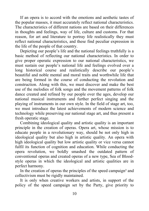If an opera is to accord with the emotions and aesthetic tastes of the popular masses, it must accurately reflect national characteristics. The characteristics of different nations are based on their differences in thoughts and feelings, way of life, culture and customs. For that reason, for art and literature to portray life realistically they must reflect national characteristics, and these find peculiar expression in the life of the people of that country.

Depicting our people's life and the national feelings truthfully is a basic method of reflecting our national characteristics. In order to give proper operatic expression to our national characteristics, we must sustain our people's national life and feelings evolved over a long historical course and realistically describe our people's beautiful and noble mental and moral traits and worthwhile life that are being formed in the course of conducting the revolution and construction. Along with this, we must discover and make the best use of the melodies of folk songs and the movement patterns of folk dance created and refined by our people over the ages, develop our national musical instruments and further perfect singing and the playing of instruments in our own style. In the field of stage art, too, we must introduce the latest achievements of modern science and technology while preserving our national stage art, and thus present a fresh operatic stage.

Combining ideological quality and artistic quality is an important principle in the creation of operas. Opera art, whose mission is to educate people in a revolutionary way, should be not only high in ideological quality but also high in artistic quality. An opera with high ideological quality but low artistic quality or vice versa cannot fulfil its function of cognition and education. While conducting the opera revolution, we boldly smashed the outdated pattern of conventional operas and created operas of a new type, Sea of Bloodstyle operas in which the ideological and artistic qualities are in perfect harmony.

In the creation of operas the principles of the speed campaign<sup>3</sup> and collectivism must be rigidly maintained.

It is only when creative workers and artists, in support of the policy of the speed campaign set by the Party, give priority to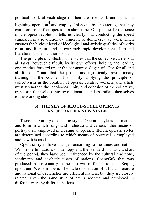political work at each stage of their creative work and launch a lightning operation<sup>4</sup> and employ finish-one-by-one tactics, that they can produce perfect operas in a short time. Our practical experience in the opera revolution tells us clearly that conducting the speed campaign is a revolutionary principle of doing creative work which ensures the highest level of ideological and artistic qualities of works of art and literature and an extremely rapid development of art and literature, as the situation demands.

The principle of collectivism ensures that the collective carries out all tasks, however difficult, by its own efforts, helping and leading one another forward under the communist slogan of "One for all and all for one!" and that the people undergo steady, revolutionary training in the course of this. By applying the principle of collectivism in the creation of operas, creative workers and artists must strengthen the ideological unity and cohesion of the collective, transform themselves into revolutionaries and assimilate themselves to the working class.

# **3) THE SEA OF BLOOD-STYLE OPERA IS AN OPERA OF A NEW STYLE**

There is a variety of operatic styles. Operatic style is the manner and form in which songs and orchestra and various other means of portrayal are employed in creating an opera. Different operatic styles are determined according to which means of portrayal is employed and how it is used.

Operatic styles have changed according to the times and nation. Within the limitations of ideology and the standard of music and art of the period, they have been influenced by the cultural traditions, sentiments and aesthetic tastes of nations. ChangGuk that was produced in our country in the past was different from the Beijing opera and Western opera. The style of creation of art and literature and national characteristics are different matters, but they are closely related. Even the same style of art is adopted and employed in different ways by different nations.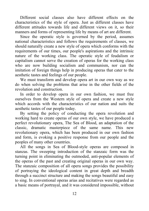Different social classes also have different effects on the characteristics of the style of opera. Just as different classes have different attitudes towards life and different views on it, so their manners and forms of representing life by means of art are different.

Since the operatic style is governed by the period, assumes national characteristics and follows the requirements of classes, we should naturally create a new style of opera which conforms with the requirements of our times, our people's aspirations and the intrinsic nature of the working class. The operatic style of feudalism or capitalism cannot serve the creation of operas for the working class who are now building socialism and communism, nor can the imitation of foreign things help in producing operas that cater to the aesthetic tastes and feelings of our people.

We must transform and develop opera art in our own way as we do when solving the problems that arise in the other fields of the revolution and construction.

In order to develop opera in our own fashion, we must free ourselves from the Western style of opera and create a new style which accords with the characteristics of our nation and suits the aesthetic tastes of our people today.

By setting the policy of conducting the opera revolution and working hard to create operas of our own style, we have produced a perfect revolutionary opera, The Sea of Blood, an adaptation of the classic, dramatic masterpiece of the same name. This new revolutionary opera, which has been produced in our own fashion and form, is evoking a positive response from our people and the peoples of many other countries.

All the songs in Sea of Blood-style operas are composed in stanzas. The sweeping introduction of the stanzaic form was the turning point in eliminating the outmoded, anti-popular elements of the operas of the past and creating original operas in our own way. The stanzaic composition of all opera songs provides the possibility of portraying the ideological content in great depth and breadth through a succinct structure and making the songs beautiful and easy to sing. In conventional operas arias and recitatives were regarded as a basic means of portrayal, and it was considered impossible, without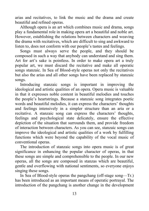arias and recitatives, to link the music and the drama and create beautiful and refined operas.

Although opera is an art which combines music and drama, songs play a fundamental role in making opera art a beautiful and noble art. However, establishing the relations between characters and weaving the drama with recitatives, which are difficult to sing and awkward to listen to, does not conform with our people's tastes and feelings.

Songs must always serve the people, and they should be composed in such a way that anybody can understand and sing them. Art for art's sake is pointless. In order to make opera art a truly popular art, we must discard the recitative and make all operatic songs stanzaic. In Sea of Blood-style operas not only the recitatives but also the arias and all other songs have been replaced by stanzaic songs.

Introducing stanzaic songs is important in improving the ideological and artistic qualities of an opera. Opera music is valuable in that it expresses noble content in beautiful melodies and touches the people's heartstrings. Because a stanzaic song integrates poetic words and beautiful melodies, it can express the characters' thoughts and feelings intensively in a simpler structure than an aria or a recitative. A stanzaic song can express the characters' thoughts, feelings and psychological state delicately, ensure the effective depiction of the situation that surrounds them, and provide freedom of interaction between characters. As you can see, stanzaic songs can improve the ideological and artistic qualities of a work by fulfilling functions which were beyond the capability of the vocal music of conventional operas.

The introduction of stanzaic songs into opera music is of great significance in enhancing the popular character of operas, in that these songs are simple and comprehensible to the people. In our new operas, all the songs are composed in stanzas which are beautiful, gentle and overflowing with national sentiments, so everyone enjoys singing these songs.

In Sea of Blood-style operas the pangchang (off-stage song—Tr.) has been introduced as an important means of operatic portrayal. The introduction of the pangchang is another change in the development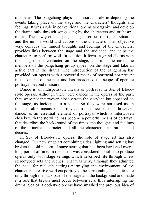of operas. The pangchang plays an important role in depicting the events taking place on the stage and the characters' thoughts and feelings. It was a rule in conventional operas to organize and develop the drama only through songs sung by the characters and orchestral music. The newly-created pangchang describes the times, situation and the inmost world and actions of the characters in an objective way, conveys the inmost thoughts and feelings of the characters, provides links between the stage and the audience, and helps the characters to perform well. In addition it forms a grand chorus with the song of the character on the stage, and in some cases the members of the pangchang group appear on the stage and take an active part in the drama. The introduction of the pangchang has provided our operas with a powerful means of portrayal not present in the operas of the past and has broadened the scope of operatic portrayal beyond measure.

Dance is an indispensable means of portrayal in Sea of Bloodstyle operas. Although there were dances in the operas of the past, they were not interwoven closely with the storyline but appeared on the stage, as incidental to a scene. So they were not used as an indispensable means of portrayal. In our new operas, however, dance, as an essential element of portrayal which is interwoven closely with the storyline, has become a powerful means of portrayal that describes the background of the times, the thoughts and feelings of the principal character and all the characters' aspirations and desires.

In Sea of Blood-style operas, the role of stage art has also changed. Our new stage art combining sides, lighting and setting has broken the old pattern of stage setting that had been hardened over a long period of time. In the past it was considered possible to produce operas only with stage settings which described life through a few stereotyped acts and scenes. That was why, although they admitted the need for realistic settings portraying the environment of the characters, creative workers portrayed the surroundings in static state only through the back part of the stage and the background and made it a rule that breaks must occur between acts, thus interrupting the drama. Sea of Blood-style operas have smashed the previous idea of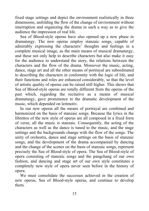fixed stage settings and depict the environment realistically in three dimensions, unfolding the flow of the change of environment without interruption and organizing the drama in such a way as to give the audience the impression of real life.

Sea of Blood-style operas have also opened up a new phase in dramaturgy. The new operas employ stanzaic songs, capable of admirably expressing the characters' thoughts and feelings in a complete musical image, as the main means of musical dramaturgy, and these not only help to describe characters but also make it easy for the audience to understand the story, the relations between the characters and the flow of the drama. Moreover the music, acting, dance, stage art and all the other means of portrayal are subordinated to describing the characters in conformity with the logic of life, and their functions and roles are enhanced considerably, so that the level of artistic quality of operas can be raised still higher. This shows that Sea of Blood-style operas are totally different from the operas of the past which, regarding the recitative as a means of musical dramaturgy, gave prominence to the dramatic development of the music, which depended on leitmotiv.

In our new operas all the means of portrayal are combined and harmonized on the basis of stanzaic songs. Because the lyrics in the librettos of the new style of operas are all composed in a fixed form of verse, all the music is stanzaic. Consequently, the acting of the characters as well as the dance is tuned to the music, and the stage settings and the backgrounds change with the flow of the songs. The unity of orchestra, dance and stage settings on the basis of stanzaic songs, and the development of the drama accompanied by dancing and the change of the scenes on the basis of stanzaic songs, represent precisely the Sea of Blood-style of opera. The Sea of Blood-style of opera consisting of stanzaic songs and the pangchang of our own fashion, and dancing and stage art of our own style constitutes a completely new style of opera never seen before in the history of opera.

We must consolidate the successes achieved in the creation of new operas, Sea of Blood-style operas, and continue to develop them.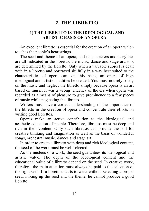# **2. THE LIBRETTO**

### **1) THE LIBRETTO IS THE IDEOLOGICAL AND ARTISTIC BASIS OF AN OPERA**

An excellent libretto is essential for the creation of an opera which touches the people's heartstrings.

The seed and theme of an opera, and its characters and storyline, are all indicated in the libretto; the music, dance and stage art, too, are determined by the libretto. Only when a valuable subject is dealt with in a libretto and portrayed skilfully in a way best suited to the characteristics of opera can, on this basis, an opera of high ideological and artistic qualities be created. You must not rely solely on the music and neglect the libretto simply because opera is an art based on music. It was a wrong tendency of the era when opera was regarded as a means of pleasure to give prominence to a few pieces of music while neglecting the libretto.

Writers must have a correct understanding of the importance of the libretto in the creation of opera and concentrate their efforts on writing good librettos.

Operas make an active contribution to the ideological and aesthetic education of people. Therefore, librettos must be deep and rich in their content. Only such librettos can provide the soil for creative thinking and imagination as well as the basis of wonderful songs, orchestral music, dances and stage art.

In order to create a libretto with deep and rich ideological content, the seed of the work must be well selected.

As the nucleus of a work, the seed guarantees its ideological and artistic value. The depth of the ideological content and the educational value of a libretto depend on the seed. In creative work, therefore, the main attention must always be paid to the selection of the right seed. If a librettist starts to write without selecting a proper seed, mixing up the seed and the theme, he cannot produce a good libretto.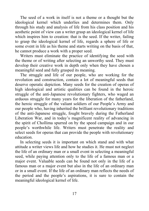The seed of a work in itself is not a theme or a thought but the ideological kernel which underlies and determines them. Only through his study and analysis of life from his class position and his aesthetic point of view can a writer grasp an ideological kernel of life which inspires him to creation: that is the seed. If the writer, failing to grasp the ideological kernel of life, regards a sphere of life or some event in life as his theme and starts writing on the basis of that, he cannot produce a work with a proper seed.

Writers must eliminate the practice of identifying the seed with the theme or of writing after selecting an unworthy seed. They must develop their creative work in depth only when they have chosen a meaningful seed and fully grasped its meaning.

The struggle and life of our people, who are working for the revolution and construction, contain a lot of meaningful seeds that deserve operatic depiction. Many seeds for the creation of operas of high ideological and artistic qualities can be found in the heroic struggle of the anti-Japanese revolutionary fighters, who waged an arduous struggle for many years for the liberation of the fatherland, the heroic struggle of the valiant soldiers of our People's Army and our people who, having inherited the brilliant revolutionary traditions of the anti-Japanese struggle, fought bravely during the Fatherland Liberation War, and in today's magnificent reality of advancing in the spirit of Chollima spurred on by the speed campaign and in our people's worthwhile life. Writers must penetrate the reality and select seeds for operas that can provide the people with revolutionary education.

In selecting seeds it is important on which stand and with what attitude a writer views life and how he studies it. He must not neglect the life of an ordinary man or a small event in selecting a meaningful seed, while paying attention only to the life of a famous man or a major event. Valuable seeds can be found not only in the life of a famous man or a major event but also in the life of an ordinary man or in a small event. If the life of an ordinary man reflects the needs of the period and the people's aspirations, it is sure to contain the meaningful ideological kernel of life.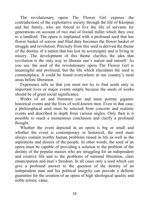The revolutionary opera The Flower Girl exposes the contradictions of the exploitative society through the life of Kkotpun and her family, who are forced to live the life of servants for generations on account of two mal of foxtail millet which they owe to a landlord. The opera is implanted with a profound seed that her flower basket of sorrow and filial duty becomes the flower basket of struggle and revolution. Precisely from this seed is derived the theme of the destiny of a nation that has lost its sovereignty and is living in misery. The development of this theme clarifies the idea that revolution is the only way to liberate one's nation and oneself. As you see, the seed of the revolutionary opera The Flower Girl is meaningful and profound, but the life which elucidates the seed is commonplace. It could be found everywhere in our country's rural areas before liberation.

Experience tells us that you must not try to find seeds only in important lives or major events simply because the seeds of works should be of great social significance.

Works of art and literature can and must portray gigantic historical events and the lives of well-known men. Even in that case, a philosophical seed must be selected from concrete and realistic events and described in depth from various angles. Only then is it possible to reach a momentous conclusion and clarify a profound thought.

Whether the event depicted in an opera is big or small and whether the event is contemporary or historical, the seed must always contain worthy human problems raised in life as well as the aspirations and desires of the people. In other words, the seed of an opera must be capable of providing a solution to the problem of the destiny of the popular masses who are struggling for an independent and creative life and to the problems of national liberation, class emancipation and man's freedom. In all cases only a seed which can give a profound answer to the question of the destiny of an independent man and his political integrity can provide a definite guarantee for the creation of an opera of high ideological quality and noble artistic value.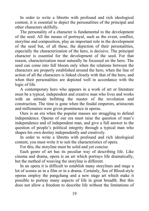In order to write a libretto with profound and rich ideological content, it is essential to depict the personalities of the principal and other characters skilfully.

The personality of a character is fundamental to the development of the seed. All the means of portrayal, such as the event, conflict, storyline and composition, play an important role in the development of the seed but, of all these, the depiction of their personalities, especially the characterization of the hero, is decisive. The principal character is essential for the development of the seed. For that reason, characterization must naturally be focussed on the hero. The seed can come into full bloom only when the relations between the characters are properly established around the hero, when the line of action of all the characters is linked closely with that of the hero, and when their personalities are depicted well in accordance with the logic of life.

A contemporary hero who appears in a work of art or literature must be a typical, independent and creative man who lives and works with an attitude befitting the master of the revolution and construction. The time is gone when the feudal emperors, aristocrats and millionaires were given prominence in operas.

Ours is an era when the popular masses are struggling to defend independence. Operas of our era must raise the question of man's independence and of independent man, and give a full answer to the question of people's political integrity through a typical man who shapes his own destiny independently and creatively.

In order to write a libretto with profound and rich ideological content, you must write it to suit the characteristics of opera.

For this, the storyline must be solid and yet concise.

Each genre of art has its peculiar way of describing life. Like cinema and drama, opera is an art which portrays life dramatically, but the method of weaving the storyline is different.

In an opera it is difficult to establish many storylines and stage a lot of scenes as in a film or in a drama. Certainly, Sea of Blood-style operas employ the pangchang and a new stage art which make it possible to portray many aspects of life in great breadth. But this does not allow a freedom to describe life without the limitations of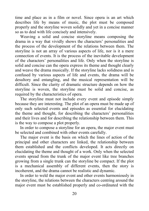time and place as in a film or novel. Since opera is an art which describes life by means of music, the plot must be composed properly and the storyline woven solidly and yet in a concise manner so as to deal with life concisely and intensively.

Weaving a solid and concise storyline means composing the drama in a way that vividly shows the characters' personalities and the process of the development of the relations between them. The storyline is not an array of various aspects of life, nor is it a mere connection of events. It is the process of the inevitable development of the characters' personalities and life. Only when the storyline is solid and concise can the opera express its theme and thought clearly and weave the drama musically. If the storyline lacks solidness and is confused by various aspects of life and events, the drama will be desultory and entangling, and the musical representation will be difficult. Since the clarity of dramatic structure depends on how the storyline is woven, the storyline must be solid and concise, as required by the characteristics of opera.

The storyline must not include every event and episode simply because they are interesting. The plot of an opera must be made up of only such selected events and episodes as essential for elucidating the theme and thought, for describing the characters' personalities and their lives and for describing the relationship between them. This is the way to compose a plot properly.

In order to compose a storyline for an opera, the major event must be selected and combined with other events carefully.

The major event is the basis on which the lines of action of the principal and other characters are linked, the relationship between them established and the conflicts developed. It acts directly on elucidating the theme and thought of a work. Only when the selected events spread from the trunk of the major event like tree branches growing from a single trunk can the storyline be compact. If the plot is a mechanical assembly of different events, then the story is incoherent, and the drama cannot be realistic and dynamic.

In order to weld the major event and other events harmoniously in the storyline, the relations between the characters centring around the major event must be established properly and co-ordinated with the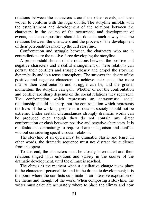relations between the characters around the other events, and then woven to conform with the logic of life. The storyline unfolds with the establishment and development of the relations between the characters in the course of the occurrence and development of events, so the composition should be done in such a way that the relations between the characters and the process of the development of their personalities make up the full storyline.

Confrontation and struggle between the characters who are in contradiction are the motive force developing the storyline.

A proper establishment of the relations between the positive and negative characters and a skilful arrangement of these relations can portray their conflicts and struggle clearly and propel the storyline dynamically and in a tense atmosphere. The stronger the desire of the positive and negative characters to achieve their ends, the more intense their confrontation and struggle can be, and the greater momentum the storyline can gain. Whether or not the confrontation and conflict are sharp depends on the social relations they represent. The confrontation which represents an antagonistic social relationship should be sharp, but the confrontation which represents the lives of the working people in a socialist society should not be extreme. Under certain circumstances strongly dramatic works can be produced even though they do not contain any direct confrontation or clash between positive and negative characters. It is old-fashioned dramaturgy to require sharp antagonism and conflict without considering specific social relations.

The storyline of an opera must be dramatic, elastic and tense. In other words, the dramatic sequence must not distract the audience from the opera.

To this end, the characters must be closely interrelated and their relations tinged with emotions and variety in the course of the dramatic development, until the climax is reached.

The climax is the moment when a qualitative change takes place in the characters' personalities and in the dramatic development; it is the point where the conflicts culminate in an intensive exposition of the theme and thought of the work. When composing a storyline, the writer must calculate accurately where to place the climax and how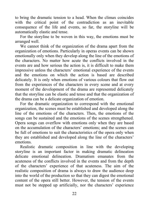to bring the dramatic tension to a head. When the climax coincides with the critical point of the contradiction as an inevitable consequence of the life and events, so far, the storyline will be automatically elastic and tense.

For the storyline to be woven in this way, the emotions must be arranged well.

We cannot think of the organization of the drama apart from the organization of emotions. Particularly in operas events can be shown emotionally only when they develop along the line of the emotions of the characters. No matter how acute the conflicts involved in the events are and how serious the action is, it is difficult to make them impressive unless the characters' emotional experience of the events and the emotions on which the action is based are described delicately. It is only when emotions of various colours that flow out from the experiences of the characters in every scene and at every moment of the development of the drama are represented delicately that the storyline can be elastic and tense and that the organization of the drama can be a delicate organization of emotion.

For the dramatic organization to correspond with the emotional organization, the scenes must be established and developed along the line of the emotions of the characters. Then, the emotions of the songs can be sustained and the emotions of the scenes strengthened. Opera songs can overflow with emotions only when they are based on the accumulation of the characters' emotions; and the scenes can be full of emotions to suit the characteristics of the opera only when they are established and developed along the line of the characters' emotions.

Realistic dramatic composition in line with the developing storyline is an important factor in making dramatic delineation delicate emotional delineation. Dramatism emanates from the acuteness of the conflicts involved in the events and from the depth of the characters' experience of that acuteness. The aim of the realistic composition of drama is always to draw the audience deep into the world of the production so that they can digest the emotional content of the opera still better. However, the tension of the events must not be stepped up artificially, nor the characters' experience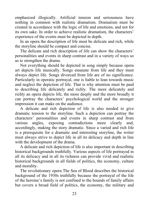emphasized illogically. Artificial tension and seriousness have nothing in common with realistic dramatism. Dramatism must be created in accordance with the logic of life and emotions, and not for its own sake. In order to achieve realistic dramatism, the characters' experience of the events must be depicted in depth.

In an opera the description of life must be delicate and rich, while the storyline should be compact and concise.

The delicate and rich description of life can show the characters' personalities and events in sharp contrast and in a variety of ways so as to strengthen the drama.

Not everything should be depicted in song simply because opera art depicts life musically. Songs emanate from life and they must always depict life. Songs divorced from life are of no significance. Particularly in operatic portrayal, one is liable to lean towards music and neglect the depiction of life. That is why attention must be paid to describing life delicately and richly. The more delicately and richly an opera depicts life, the more deeply and the more broadly it can portray the characters' psychological world and the stronger impression it can make on the audience.

A delicate and rich depiction of life is also needed to give dramatic tension to the storyline. Such a depiction can portray the characters' personalities and events in sharp contrast and from various angles, exposing contradictions more clearly and, accordingly, making the story dramatic. Since a varied and rich life is a prerequisite for a dramatic and interesting storyline, the writer must always strive to depict life in all its delicacy and depth in line with the development of the drama.

A delicate and rich depiction of life is also important in describing historical backgrounds truthfully. Various aspects of life portrayed in all its delicacy and in all its richness can provide vivid and realistic historical backgrounds in all fields of politics, the economy, culture and morality.

The revolutionary opera The Sea of Blood describes the historical background of the 1930s truthfully because the portrayal of the life of the heroine's family is not confined to the bounds of family affairs but covers a broad field of politics, the economy, the military and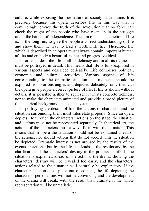culture, while exposing the true nature of society at that time. It is precisely because this opera describes life in this way that it convincingly proves the truth of the revolution that no force can check the might of the people who have risen up in the struggle under the banner of independence. The aim of such a depiction of life is, in the long run, to give the people a correct understanding of life and show them the way to lead a worthwhile life. Therefore, life which is described in an opera must always contain important human affairs and embody a beautiful, noble and progressive ideal.

In order to describe life in all its delicacy and in all its richness it must be portrayed in detail. This means that life is fully explored in various aspects and described delicately. Life comprises political, economic and cultural activities. Various aspects of life economic and cultural activities. Various aspects of life corresponding to the dramatic situation and moments should be explored from various angles and depicted delicately; only then can the opera give people a correct picture of life. If life is shown without details, it is possible neither to represent it in its concrete richness, nor to make the characters animated and provide a broad picture of the historical background and social system.

In portraying the details of life, the actions of characters and the situation surrounding them must interrelate properly. Since an opera depicts life through the characters' actions on the stage, the situation and actions must not be represented separately. In theatrical art, the actions of the characters must always fit in with the situation. This means that in opera the situation should not be explained ahead of the actions, nor should actions that do not accord with the situation be depicted. Dramatic interest is not aroused by the results of the events or actions, but by the life that leads to the results and by the clarification of the characters' destiny in the process of life. If the situation is explained ahead of the actions, the drama showing the characters' destiny will be revealed too early, and the characters' actions related to the situation will naturally be explanatory. If the characters' actions take place out of context, the life depicting the characters' personalities will not be convincing and the development of the drama will creak, with the result that, ultimately, the whole representation will be unrealistic.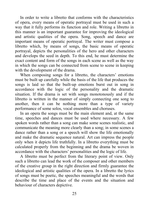In order to write a libretto that conforms with the characteristics of opera, every means of operatic portrayal must be used in such a way that it fully performs its function and role. Writing a libretto in this manner is an important guarantee for improving the ideological and artistic qualities of the opera. Song, speech and dance are important means of operatic portrayal. The writer must compose a libretto which, by means of songs, the basic means of operatic portrayal, depicts the personalities of the hero and other characters and develops the seed in depth. To this end, he must determine the exact content and form of the songs in each scene as well as the way in which the songs can be connected from scene to scene in keeping with the development of the drama.

When composing songs for a libretto, the characters' emotions must be built up carefully while the basis of the life that produces the songs is laid so that the built-up emotions burst out in song in accordance with the logic of the personality and the dramatic situation. If the drama is set with songs monotonously and if the libretto is written in the manner of simply connecting one song to another, then it can be nothing more than a type of variety performance of some solos, vocal ensembles and choruses.

In an opera the songs must be the main element and, at the same time, speeches and dances must be used where necessary. A few spoken words rather than a song can make some scenes realistic, and communicate the meaning more clearly than a song; in some scenes a dance rather than a song or a speech will show the life emotionally and make the dramatic sequence natural. Art can impress the people only when it depicts life truthfully. In a libretto everything must be calculated properly from the beginning and the drama be woven in accordance with the characters' personalities and the logic of life.

A libretto must be perfect from the literary point of view. Only such a libretto can lead the work of the composer and other members of the creative group in the right direction and firmly guarantee the ideological and artistic qualities of the opera. In a libretto the lyrics of songs must be poetic, the speeches meaningful and the words that describe the time and place of the events and the situation and behaviour of characters depictive.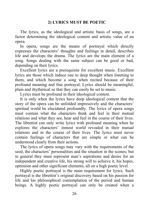# **2) LYRICS MUST BE POETIC**

The lyrics, as the ideological and artistic basis of songs, are a factor determining the ideological content and artistic value of an opera.

In opera, songs are the means of portrayal which directly expresses the characters' thoughts and feelings in detail, describes life and develops the drama. The lyrics are the main element of a song. Songs dealing with the same subject can be good or bad, depending on their lyrics.

Excellent lyrics are a prerequisite for excellent music. Excellent lyrics are those which induce one to deep thought when listening to them, and which become a song when recited because of their profound meaning and fine portrayal. Lyrics should be meaningful, plain and rhythmical so that they can easily be set to music.

Lyrics must be profound in their ideological content.

It is only when the lyrics have deep ideological content that the story of the opera can be unfolded impressively and the characters' spiritual world be elucidated profoundly. The lyrics of opera songs must contain what the characters think and feel in their mutual relations and what they see, hear and feel in the course of their lives. The librettist can only write lyrics with profound meaning when he explores the characters' inmost world revealed in their mutual relations and in the course of their lives. The lyrics must never contain feelings of characters that are simple or what can be understood clearly from their actions.

The lyrics of opera songs may vary with the requirements of the seed, the characters' personalities and the situation in the scenes; but in general they must represent man's aspirations and desire for an independent and creative life, his strong will to achieve it, his hopes, optimism and other significant elements, all on a high poetic level.

Highly poetic portrayal is the main requirement for lyrics. Such portrayal is the librettist's original discovery based on his passion for life and his philosophical contemplation of the period and human beings. A highly poetic portrayal can only be created when a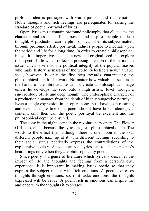profound idea is portrayed with warm passion and rich emotion. Noble thoughts and rich feelings are prerequisites for raising the standard of poetic portrayal of lyrics.

Opera lyrics must contain profound philosophy that elucidates the character and essence of the period and inspires people to deep thought. A production can be philosophical when its subject matter, through profound artistic portrayal, induces people to meditate upon the period and life for a long time. In order to create a philosophical image, it is imperative to select a new and original seed and explore the aspect of life which reflects a pressing question of the period, an issue which is vital to the political integrity of the popular masses who make history as masters of the world. Selecting a new, valuable seed, however, is only the first step towards guaranteeing the philosophical depth of a work. No matter how valuable a seed is in the hands of the librettist, he cannot create a philosophical image unless he develops the seed onto a high artistic level through a sincere study of life and deep thought. The philosophical character of a production emanates from the depth of highly suggestive portrayal. Even a single expression in an opera song must have deep meaning and even a single line of a poem should have broad ideological content; only then can the poetic portrayal be excellent and the philosophical depth be ensured.

The song in the night scene in the revolutionary opera The Flower Girl is excellent because the lyric has great philosophical depth. The words to the effect that, although there is one moon in the sky, different people gaze up at it with different feelings according to their social status poetically express the contradictions of the exploitative society. As you can see, lyrics can touch the people's heartstrings only when they are philosophically poetic.

Since poetry is a genre of literature which lyrically describes the impact of life and thoughts and feelings from a person's own experience, it is important in making lyrics poetic so that they express the subject matter with rich emotions. A poem expresses thoughts through emotions; so, if it lacks emotions, the thoughts expressed will be crude. A poem rich in emotions can inspire the audience with the thoughts it expresses.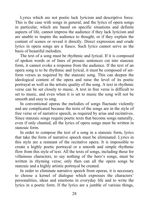Lyrics which are not poetic lack lyricism and descriptive force. This is the case with songs in general, and the lyrics of opera songs in particular, which are based on specific situations and definite aspects of life, cannot impress the audience if they lack lyricism and are unable to inspire the audience to thought, or if they explain the content of scenes or reveal it directly. Direct expression and crude lyrics in opera songs are a fiasco. Such lyrics cannot serve as the basis of beautiful melodies.

The text of a song must be rhythmic and lyrical. If it is composed of spoken words or of lines of prosaic sentences cut into stanzaic form, it cannot evoke a response from the audience. If the text of an opera song is to be rhythmic and lyrical, it must be composed of setform verses as required by the stanzaic song. This can deepen the ideological content of the opera and raise the level of its poetic portrayal as well as the artistic quality of the song. A text in rhythmic verse can be set closely to music. A text in free verse is difficult to set to music, and even when it is set to music the song will not be smooth and easy to sing.

In conventional operas the melodies of songs fluctuate violently and are complicated because the texts of the songs are in the style of free verse or of narrative speech, as required by arias and recitatives. Since stanzaic songs require poetic texts that become songs naturally, even if only chanted, all the lyrics of opera songs must be written in stanzaic form.

In order to compose the text of a song in a stanzaic form, lyrics that take the form of narrative speech must be eliminated. Lyrics in this style are a remnant of the recitative opera. It is impossible to create a highly poetic portrayal or a smooth and simple rhythmic flow from this style of text. All the texts of songs, including those for villainous characters, to say nothing of the hero's songs, must be written in rhyming verse; only then can all the opera songs be stanzaic and a highly artistic portrayal be created.

In order to eliminate narrative speech from operas, it is necessary to choose a kernel of dialogue which expresses the characters' personalities, ideas and emotions in everyday life and to write the lyrics in a poetic form. If the lyrics are a jumble of various things,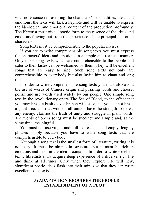with no essence representing the characters' personalities, ideas and emotions, the texts will lack a keynote and will be unable to express the ideological and emotional content of the production profoundly. The librettist must give a poetic form to the essence of the ideas and emotions flowing out from the experience of the principal and other characters.

Song texts must be comprehensible to the popular masses.

If you are to write comprehensible song texts you must express the characters' ideas and emotions in a simple and realistic manner. Only those song texts which are comprehensible to the people and cater to their tastes can be welcomed by them. They will be excellent songs that are easy to sing. Such song texts not only are comprehensible to everybody but also invite him to chant and sing them.

In order to write comprehensible song texts you must also avoid the use of words of Chinese origin and puzzling words and choose, polish and use words used widely by our people. One simple song text in the revolutionary opera The Sea of Blood, to the effect that you may break a bush clover branch with ease, but you cannot break a giant tree, and that women, all united, have the strength to defeat any enemy, clarifies the truth of unity and struggle in plain words. The words of opera songs must be succinct and simple and, at the same time, meaningful.

You must not use vulgar and dull expressions and empty, lengthy phrases simply because you have to write song texts that are comprehensible to everybody.

Although a song text is the smallest form of literature, writing it is not easy. It must be simple in structure, but it must be rich in emotions and deep in the idea it contains. In order to write excellent texts, librettists must acquire deep experience of a diverse, rich life and think at all times. Only when they explore life will new, significant poetic ideas flash into their minds so that they can write excellent song texts.

# **3) ADAPTATION REQUIRES THE PROPER ESTABLISHMENT OF A PLOT**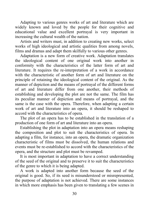Adapting to various genres works of art and literature which are widely known and loved by the people for their cognitive and educational value and excellent portrayal is very important in increasing the cultural wealth of the nation.

Artists and writers must, in addition to creating new works, select works of high ideological and artistic qualities from among novels, films and dramas and adapt them skilfully to various other genres.

Adaptation is a new form of creative work. Adaptation translates the ideological content of one original work into another in conformity with the characteristics of the latter form of art and literature. It requires the re-interpretation of a work in accordance with the characteristic of another form of art and literature on the principle of retaining the ideological content of the original. As the manner of depiction and the means of portrayal of the different forms of art and literature differ from one another, their methods of establishing and developing the plot are not the same. The film has its peculiar manner of depiction and means of portrayal, and the same is the case with the opera. Therefore, when adapting a certain work of art and literature into an opera, it should be reshaped to accord with the characteristics of opera.

The plot of an opera has to be established in the translation of a production of one form of art and literature into an opera.

Establishing the plot in adaptation into an opera means reshaping the composition and plot to suit the characteristics of opera. In adapting a film, for instance, into an opera, the dramatic organization characteristic of films must be dissolved, the human relations and events must be re-established to accord with the characteristics of the opera, and the structure and plot must be revamped.

It is most important in adaptation to have a correct understanding of the seed of the original and to preserve it to suit the characteristics of the genre to which it is being adapted.

A work is adapted into another form because the seed of the original is good. So, if its seed is misunderstood or misrepresented, the purpose of adaptation is not achieved. There are some instances in which more emphasis has been given to translating a few scenes in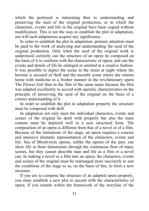which the portrayal is interesting than to understanding and preserving the seed of the original production, or in which the characters, events and life in the original have been copied without modification. This is not the way to establish the plot in adaptation, nor will such adaptations acquire any significance.

In order to establish the plot in adaptation, primary attention must be paid to the work of analysing and understanding the seed of the original production. Only when the seed of the original work is understood correctly can the structure of an opera be composed on the basis of it to conform with the characteristic of opera, and can the events and details of life be enlarged or omitted in a creative fashion. It was possible to depict the scene in the street at night where the heroine is accused of theft and the moonlit scene where she returns home with medicine in a fresher manner in the revolutionary opera The Flower Girl than in the film of the same name because the film was adapted excellently to accord with operatic characteristics on the principle of preserving the seed of the original on the basis of a correct understanding of it.

In order to establish the plot in adaptation properly the structure must be composed with skill.

In adaptation not only must the individual characters, events and scenes of the original be dealt with properly but also the main content must be depicted well in a new structural form. The composition of an opera is different from that of a novel or of a film. Because of the limitations of the stage, an opera requires a concise and intensive dramatic representation of the characters, events and life. Sea of Blood-style operas, unlike the operas of the past, can show life in three dimensions through the continuous flow of many scenes, but they cannot describe man and life as a film or a novel can. In making a novel or a film into an opera, the characters, events and scenes of the original must be rearranged more succinctly to suit the conditions of the stage so as, on the basis of this, to form a new structure.

If you are to compose the structure of an adapted opera properly, you must establish a new plot to accord with the characteristics of opera. If you remain within the framework of the storyline of the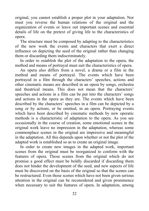original, you cannot establish a proper plot in your adaptation. Nor must you reverse the human relations of the original and the organization of events or leave out important scenes and essential details of life on the pretext of giving life to the characteristics of opera.

The structure must be composed by adapting to the characteristics of the new work the events and characters that exert a direct influence on depicting the seed of the original rather than changing them or discarding them indiscriminately.

In order to establish the plot of the adaptation to the opera, the method and means of portrayal must suit the characteristics of opera.

An opera also differs from a novel, a drama or a film in the method and means of portrayal. The events which have been portrayed in a film through the characters' speeches, actions and other cinematic means are described in an opera by songs, orchestra and theatrical means. This does not mean that the characters' speeches and actions in a film can be put into the characters' songs and actions in the opera as they are. The events which have been described by the characters' speeches in a film can be depicted by a song or by actions, or be omitted, in an opera. Portraying events which have been described by cinematic methods by new operatic methods is a characteristic of adaptation to the opera. As you see occasionally in the course of creation, some emotional scenes in the original work leave no impression in the adaptation, whereas some commonplace scenes in the original are impressive and meaningful in the adaptation. All this depends upon whether or not the plot of the adapted work is established so as to create an original image.

In order to create new images in the adapted work, important scenes from the original must be reorganized to conform with the features of opera. Those scenes from the original which do not promise a good effect must be boldly discarded if discarding them does not hinder the development of the seed, and new aspects of life must be discovered on the basis of the original so that the scenes can be restructured. Even those scenes which have not been given serious attention in the original can be reconsidered and given prominence when necessary to suit the features of opera. In adaptation, among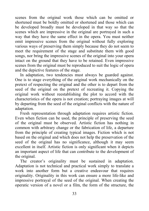scenes from the original work those which can be omitted or shortened must be boldly omitted or shortened and those which can be developed broadly must be developed in that way so that the scenes which are impressive in the original are portrayed in such a way that they have the same effect in the opera. You must neither omit impressive scenes from the original without fully exploring various ways of preserving them simply because they do not seem to meet the requirement of the stage and substitute them with good songs, nor bring the impressive scenes of the original into your opera intact on the ground that they have to be retained. Even impressive scenes from the original must be reproduced to suit the logic of opera and the depictive features of the stage.

In adaptation, two tendencies must always be guarded against. One is to stage everything of the original work mechanically on the pretext of respecting the original and the other is to depart from the seed of the original on the pretext of recreating it. Copying the original work without reestablishing the plot to accord with the characteristics of the opera is not creation; portraying images at will by departing from the seed of the original conflicts with the nature of adaptation.

Fresh representation through adaptation requires artistic fiction. Even when fiction can be used, the principle of preserving the seed of the original must be observed. Artistic fiction has nothing in common with arbitrary change or the fabrication of life, a departure from the principle of creating typical images. Fiction which is not based on the original and which does not help the preservation of the seed of the original has no significance, although it may seem excellent in itself. Artistic fiction is only significant when it depicts an important aspect of life that can contribute to the development of the original.

The creator's originality must be sustained in adaptation. Adaptation is not technical and practical work simply to translate a work into another form but a creative endeavour that requires originality. Originality in this work can ensure a more life-like and impressive portrayal of the seed of the original. When creating the operatic version of a novel or a film, the form of the structure, the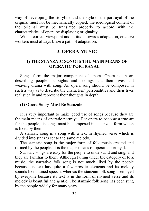way of developing the storyline and the style of the portrayal of the original must not be mechanically copied; the ideological content of the original must be translated properly to accord with the characteristics of opera by displaying originality.

With a correct viewpoint and attitude towards adaptation, creative workers must always blaze a path of adaptation.

# **3. OPERA MUSIC**

# **1) THE STANZAIC SONG IS THE MAIN MEANS OF OPERATIC PORTRAYAL**

Songs form the major component of opera. Opera is an art describing people's thoughts and feelings and their lives and weaving drama with song. An opera song should be composed in such a way as to describe the characters' personalities and their lives realistically and represent their thoughts in depth.

# **(1) Opera Songs Must Be Stanzaic**

It is very important to make good use of songs because they are the main means of operatic portrayal. For opera to become a true art for the people, its songs must be composed in a stanzaic form which is liked by them.

A stanzaic song is a song with a text in rhymed verse which is divided into stanzas set to the same melody.

The stanzaic song is the major form of folk music created and refined by the people. It is the major means of operatic portrayal.

Stanzaic songs are easy for the people to understand and sing, and they are familiar to them. Although falling under the category of folk music, the narrative folk song is not much liked by the people because its text has quite a few prosaic elements and its melody sounds like a tuned speech, whereas the stanzaic folk song is enjoyed by everyone because its text is in the form of rhymed verse and its melody is beautiful and gentle. The stanzaic folk song has been sung by the people widely for many years.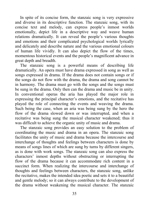In spite of its concise form, the stanzaic song is very expressive and diverse in its descriptive function. The stanzaic song, with its concise text and melody, can express people's inmost worlds emotionally, depict life in a descriptive way and weave human relations dramatically. It can reveal the people's various thoughts and emotions and their complicated psychological worlds lyrically and delicately and describe nature and the various emotional colours of human life vividly. It can also depict the flow of the times, momentous historical events and the people's magnificent advance in great depth and breadth.

The stanzaic song is a powerful means of describing life dramatically. An opera must have drama expressed in song as well as songs expressed in drama. If the drama does not contain songs or if the songs do not flow with the drama, the drama and song cannot be in harmony. The drama must go with the songs and the songs must be sung in the drama. Only then can the drama and music be in unity. In conventional operas the aria has played the major role in expressing the principal character's emotions, and the recitative has played the role of connecting the events and weaving the drama. Such being the case, when an aria was being sung by the hero the flow of the drama slowed down or was interrupted, and when a recitative was being sung the musical character weakened; thus it was difficult to achieve the organic unity of music and drama.

The stanzaic song provides an easy solution to the problem of coordinating the music and drama in an opera. The stanzaic song facilitates the unity of music and drama because the intercourse and interchange of thoughts and feelings between characters is done by means of songs lines of which are sung by turns by different singers, as is done with work songs. The stanzaic song can also express the characters' inmost depths without obstructing or interrupting the flow of the drama because it can accommodate rich content in a succinct form. When realizing the intercourse and interchange of thoughts and feelings between characters, the stanzaic song, unlike the recitative, makes the intended idea poetic and sets it to a beautiful and gentle melody; so it can always contribute to the development of the drama without weakening the musical character. The stanzaic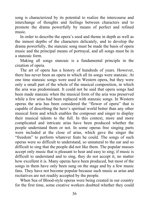song is characterized by its potential to realize the intercourse and interchange of thoughts and feelings between characters and to promote the drama powerfully by means of perfect and refined music.

In order to describe the opera's seed and theme in depth as well as the inmost depths of the characters delicately, and to develop the drama powerfully, the stanzaic song must be made the basis of opera music and the principal means of portrayal, and all songs must be in a stanzaic form.

Making all songs stanzaic is a fundamental principle in the creation of opera.

The art of opera has a history of hundreds of years. However, there has never been an opera in which all its songs were stanzaic. At one time stanzaic songs were used in Western opera, but they were only a small part of the whole of the musical composition, in which the aria was predominant. It could not be said that opera songs had been made stanzaic when the musical form of the aria was preserved while a few arias had been replaced with stanzaic songs. In Western operas the aria has been considered the "flower of opera" that is capable of describing the hero's spiritual world better than any other musical form and which enables the composer and singer to display their musical talents to the full. In this context, more and more complicated and intricate arias have been produced whether the people understand them or not. In some operas free singing parts were included at the close of arias, which gave the singer the "freedom" to perform whatever feats he could. The songs of such operas were so difficult to understand, so unnatural to the ear and so difficult to sing that the people did not like them. The popular masses accept only music that is pleasant to hear and easy to sing; if music is difficult to understand and to sing, they do not accept it, no matter how excellent it is. Many operas have been produced, but most of the songs in them have only been sung on the stage and by a few music fans. They have not become popular because such music as arias and recitatives are not readily accepted by the people.

When Sea of Blood-style operas were being created in our country for the first time, some creative workers doubted whether they could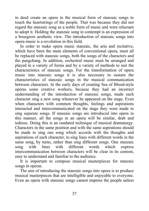in deed create an opera in the musical form of stanzaic songs to touch the heartstrings of the people. That was because they did not regard the stanzaic song as a noble form of music and were reluctant to adopt it. Holding the stanzaic song in contempt is an expression of a bourgeois aesthetic view. The introduction of stanzaic songs into opera music is a revolution in this field.

In order to make opera music stanzaic, the aria and recitative, which have been the main elements of conventional opera, must all be replaced with stanzaic songs, both the songs of the characters and the pangchang. In addition, orchestral music must be arranged and played in a variety of forms and by a variety of methods to suit the characteristics of stanzaic songs. For the transformation of opera music into stanzaic songs it is also necessary to sustain the characteristics of stanzaic songs in the musical communication between characters. In the early days of creating Sea of Blood-style operas some creative workers, because they had an incorrect understanding of the introduction of stanzaic songs, made each character sing a new song whenever he appeared on the stage. Even when characters with common thoughts, feelings and aspirations interacted and intercommunicated on the stage they were made to sing separate songs. If stanzaic songs are introduced into opera in this manner, all the songs in an opera will be similar, drab and tedious. Doing this is an outdated technique of musical dramaturgy. Characters in the same position and with the same aspirations should be made to sing one song which accords with the thoughts and aspirations of each character, to sing lines with different words in the same song, by turns, rather than sing different songs. One stanzaic song with lines with different words which express intercommunication between characters will be clear in its content, easy to understand and familiar to the audience.

It is important to compose musical masterpieces for stanzaic songs in operas.

The aim of introducing the stanzaic songs into opera is to produce musical masterpieces that are intelligible and enjoyable to everyone. Even an opera with stanzaic songs cannot impress the people unless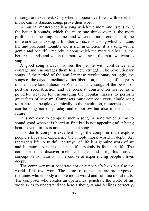its songs are excellent. Only when an opera overflows with excellent music can its stanzaic songs prove their worth.

A musical masterpiece is a song which the more one listens to it, the better it sounds, which the more one thinks over it, the more profound its meaning becomes and which the more one sings it, the more one wants to sing it. In other words, it is a song which contains life and profound thoughts and is rich in emotion; it is a song with a gentle and beautiful melody, a song which the more we hear it, the better it sounds and which the more we sing it, the more we want to sing it.

A good song always inspires the people with confidence and courage and encourages them to a new struggle. The revolutionary songs of the period of the anti-Japanese revolutionary struggle, the songs of the days immediately after liberation, the songs of the years of the Fatherland Liberation War and many songs of the period of postwar reconstruction and of socialist construction served as a powerful weapon for encouraging the popular masses to perform great feats of heroism. Composers must compose every single song to inspire the people dynamically to the revolution, masterpieces that can be sung not only today and tomorrow but also in the distant future.

It is not easy to compose such a song. A song which seems to sound good when it is heard at first but is not appealing after being heard several times is not an excellent song.

In order to compose excellent songs the composer must explore people's lives and experience their noble moral world in depth. Art represents life. A truthful portrayal of life is a genuine work of art and literature. A noble and beautiful melody is found in life. The composer must discover melodic images and bring his musical conception to maturity in the course of experiencing people's lives deeply.

The composer must penetrate not only people's lives but also the world of his own work. The heroes of our operas are prototypes of the times who embody a noble moral world and sublime moral traits. The composer who creates an opera must penetrate the world of his work so as to understand the hero's thoughts and feelings correctly,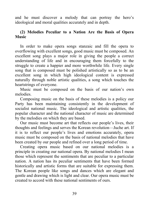and he must discover a melody that can portray the hero's ideological and moral qualities accurately and in depth.

# **(2) Melodies Peculiar to a Nation Are the Basis of Opera Music**

In order to make opera songs stanzaic and fill the opera to overflowing with excellent songs, good music must be composed. An excellent song plays a major role in giving the people a correct understanding of life and in encouraging them forcefully to the struggle to create a happier and more worthwhile life. Every single song that is composed must be polished artistically so as to be an excellent song in which high ideological content is expressed naturally through noble artistic qualities, a song which touches the heartstrings of everyone.

Music must be composed on the basis of our nation's own melodies.

Composing music on the basis of these melodies is a policy our Party has been maintaining consistently in the development of socialist national music. The ideological and artistic qualities, the popular character and the national character of music are determined by the melodies on which they are based.

Our music must become art that reflects our people's lives, their thoughts and feelings and serves the Korean revolution—Juche art. If it is to reflect our people's lives and emotions accurately, opera music must be composed on the basis of national melodies that have been created by our people and refined over a long period of time.

Creating opera music based on our national melodies is a principle in creating our national opera. By national melodies I mean those which represent the sentiments that are peculiar to a particular nation. A nation has its peculiar sentiments that have been formed historically and artistic forms that are suitable for expressing them. The Korean people like songs and dances which are elegant and gentle and drawing which is light and clear. Our opera music must be created to accord with these national sentiments of ours.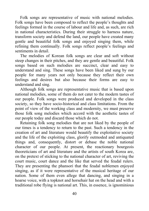Folk songs are representative of music with national melodies. Folk songs have been composed to reflect the people's thoughts and feelings formed in the course of labour and life and, as such, are rich in national characteristics. During their struggle to harness nature, transform society and defend the land, our people have created many gentle and beautiful folk songs and enjoyed singing them, while refining them continually. Folk songs reflect people's feelings and sentiments in detail.

The melodies of Korean folk songs are clear and soft without steep changes in their pitches, and they are gentle and beautiful. Folk songs based on such melodies are succinct, clear and easy to understand and sing. These songs have been liked and sung by our people for many years not only because they reflect their own feelings and desires but also because their forms are easy to understand and sing.

Although folk songs are representative music that is based upon national melodies, some of them do not cater to the modern tastes of our people. Folk songs were produced and developed in the class society, so they have socio-historical and class limitations. From the point of view of the working class and modernity, we must preserve those folk song melodies which accord with the aesthetic tastes of our people today and discard those which do not.

Retaining folk song melodies that are not liked by the people of our times is a tendency to return to the past. Such a tendency in the creation of art and literature would beautify the exploitative society and the life of the exploiting class, glorify outmoded and antiquated things and, consequently, distort or debase the noble national character of our people. At present, the reactionary bourgeois theoreticians of art and literature and the artists of south Korea are, on the pretext of sticking to the national character of art, reviving the court music, court dance and the like that served the feudal rulers. They are presenting the phansori that the feudal noblemen enjoyed singing, as if it were representative of the musical heritage of our nation. Some of them even allege that dancing, and singing in a hoarse voice, with a topknot and horsehair hat on the head and with a traditional robe flying is national art. This, in essence, is ignominious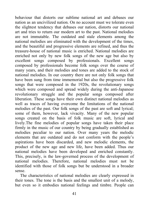behaviour that distorts our sublime national art and debases our nation as an uncivilized nation. On no account must we tolerate even the slightest tendency that debases our nation, distorts our national art and tries to return our modern art to the past. National melodies are not immutable. The outdated and stale elements among the national melodies are eliminated with the development of the times, and the beautiful and progressive elements are refined, and thus the treasure-house of national music is enriched. National melodies are enriched not only by new folk songs of the new age but also by excellent songs composed by professionals. Excellent songs composed by professionals become folk songs over the course of many years, and their melodies and tones are added to the stock of national melodies. In our country there are not only folk songs that have been sung from time immemorial but also the progressive folk songs that were composed in the 1920s, the revolutionary songs which were composed and spread widely during the anti-Japanese revolutionary struggle and the popular songs composed after liberation. These songs have their own distinct national melodies as well as traces of having overcome the limitations of the national melodies of the past. Our folk songs of the past are soft and lyrical; some of them, however, lack vivacity. Many of the new popular songs created on the basis of folk music are soft, lyrical and lively.The fine melodies of popular songs have taken their place firmly in the music of our country by being gradually established as melodies peculiar to our nation. Over many years the melodic elements that are outdated and do not conform with the people's aspirations have been discarded, and new melodic elements, the product of the new age and new life, have been added. Thus our national melodies have been developed and enriched constantly. This, precisely, is the law-governed process of the development of national melodies. Therefore, national melodies must not be identified with those of folk songs but be understood in a broader sense.

The characteristics of national melodies are clearly expressed in their tones. The tone is the basis and the smallest unit of a melody, but even so it embodies national feelings and timbre. People can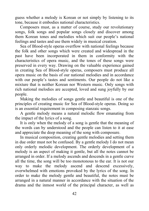guess whether a melody is Korean or not simply by listening to its tone, because it embodies national characteristics.

Composers must, as a matter of course, study our revolutionary songs, folk songs and popular songs closely and discover among them Korean tones and melodies which suit our people's national feelings and tastes and use them widely in musical creation.

Sea of Blood-style operas overflow with national feelings because the folk and other songs which were created and widespread in the past have been incorporated in them in conformity with the characteristics of opera music, and the tones of these songs were preserved in every way. Drawing on the valuable experience gained in creating Sea of Blood-style operas, composers must produce all opera music on the basis of our national melodies and in accordance with our people's tastes and sentiments. Our people do not like a mixture that is neither Korean nor Western music. Only songs with rich national melodies are accepted, loved and sung joyfully by our people.

Making the melodies of songs gentle and beautiful is one of the principles of creating music for Sea of Blood-style operas. Doing so is an essential requirement in composing stanzaic songs.

A gentle melody means a natural melodic flow emanating from the impact of the lyrics of a song.

It is only when the melody of a song is gentle that the meaning of the words can by understood and the people can listen to it at ease and appreciate the deep meaning of the song with composure.

In musical composition, creating gentle melodies and setting them in due order must not be confused. By a gentle melody I do not mean only orderly melodic development. The orderly development of a melody is an aspect of making it gentle, but all the notes cannot be arranged in order. If a melody ascends and descends in a gentle curve all the time, the song will be too monotonous to the ear. It is not our way to make the melody ascend and descend excessively, overwhelmed with emotions provoked by the lyrics of the song. In order to make the melody gentle and beautiful, the notes must be arranged in a natural manner in accordance with the situation of the drama and the inmost world of the principal character, as well as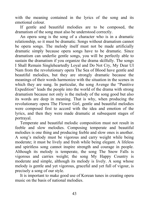with the meaning contained in the lyrics of the song and its emotional colour.

If gentle and beautiful melodies are to be composed, the dramatism of the song must also be understood correctly.

An opera song is the song of a character who is in a dramatic relationship, so it must be dramatic. Songs without dramatism cannot be opera songs. The melody itself must not be made artificially dramatic simply because opera songs have to be dramatic. Since dramatism can underlie gentle songs, you will be perfectly able to sustain the dramatism if you organize the drama skilfully. The songs I Shall Remain Singleheartedly Loyal and Do Not Cry, My Dear Ul Nam from the revolutionary opera The Sea of Blood have gentle and beautiful melodies, but they are strongly dramatic because the meanings of their words harmonize with the situation in the scenes in which they are sung. In particular, the song Avenge the "Punitive Expedition" leads the people into the world of the drama with strong dramatism because not only is the melody of the song good but also its words are deep in meaning. That is why, when producing the revolutionary opera The Flower Girl, gentle and beautiful melodies were composed first to accord with the idea and emotion of the lyrics, and then they were made dramatic at subsequent stages of portrayal.

Temperate and beautiful melodic composition must not result in feeble and slow melodies. Composing temperate and beautiful melodies is one thing and producing feeble and slow ones is another. A song's melody must be vigorous and carry weight while being moderate; it must be lively and fresh while being elegant. A lifeless and spiritless song cannot inspire strength and courage in people. Although its melody is temperate, the song The Snow Falls is vigorous and carries weight; the song My Happy Country is moderate and simple, although its melody is lively. A song whose melody is gentle and yet vigorous, graceful and yet full of vigour, is precisely a song of our style.

It is important to make good use of Korean tunes in creating opera music on the basis of national melodies.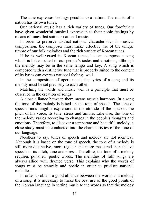The tune expresses feelings peculiar to a nation. The music of a nation has its own tunes.

Our national music has a rich variety of tunes. Our forefathers have given wonderful musical expression to their noble feelings by means of tunes that suit our national music.

In order to preserve distinct national characteristics in musical composition, the composer must make effective use of the unique timbre of our folk melodies and the rich variety of Korean tunes.

If he is well-versed in Korean tunes, he can compose a song which is better suited to our people's tastes and emotions, although the melody may be in the same tempo and key. A song which is composed with a distinctive tune that is properly suited to the content of its lyrics can express national feelings well.

In the composition of opera music the lyrics of a song and its melody must be set precisely to each other.

Matching the words and music well is a principle that must be observed in the creation of songs.

A close alliance between them means artistic harmony. In a song the tone of the melody is based on the tone of speech. The tone of speech finds tangible expression in the attitude of the speaker, the pitch of his voice, its tune, stress and timbre. Likewise, the tone of the melody varies according to changes in the people's thoughts and emotions. Therefore, to discover a temperate and beautiful melody, a close study must be conducted into the characteristics of the tone of our language.

Needless to say, tones of speech and melody are not identical. Although it is based on the tone of speech, the tone of a melody is still more distinctive, more regular and more measured than that of speech in its pitch, tune and stress. Therefore, the tone of a melody requires polished, poetic words. The melodies of folk songs are always allied with rhymed verse. This explains why the words of songs must be stanzaic and poetic in order to produce national melodies.

In order to obtain a good alliance between the words and melody of a song, it is necessary to make the best use of the good points of the Korean language in setting music to the words so that the melody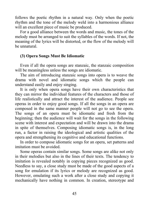follows the poetic rhythm in a natural way. Only when the poetic rhythm and the tone of the melody weld into a harmonious alliance will an excellent piece of music be produced.

For a good alliance between the words and music, the tones of the melody must be arranged to suit the syllables of the words. If not, the meaning of the lyrics will be distorted, or the flow of the melody will be unnatural.

# **(3) Opera Songs Must Be Idiomatic**

Even if all the opera songs are stanzaic, the stanzaic composition will be meaningless unless the songs are idiomatic.

The aim of introducing stanzaic songs into opera is to weave the drama with novel and idiomatic songs which the people can understand easily and enjoy singing.

It is only when opera songs have their own characteristics that they can mirror the individual features of the characters and those of life realistically and attract the interest of the audience. People see operas in order to enjoy good songs. If all the songs in an opera are composed in the same manner people will not go to see the opera. The songs of an opera must be idiomatic and fresh from the beginning; then the audience will wait for the songs in the following scene with interest and expectation and will be drawn into the drama in spite of themselves. Composing idiomatic songs is, in the long run, a factor in raising the ideological and artistic qualities of the opera and strengthening its cognitive and educational functions.

In order to compose idiomatic songs for an opera, set patterns and imitation must be avoided.

Some operas contain similar songs. Some songs are alike not only in their melodies but also in the lines of their texts. The tendency to imitation is revealed notably in copying pieces recognized as good. Needless to say, a close study must be made of the good aspects of a song for emulation if its lyrics or melody are recognized as good. However, emulating such a work after a close study and copying it mechanically have nothing in common. In creation, stereotype and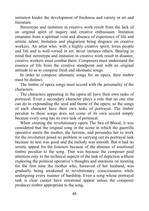imitation hinder the development of freshness and variety in art and literature.

Stereotype and imitation in creative work result from the lack of an original spirit of inquiry and creative enthusiasm. Imitation emanates from a spiritual void and absence of experience of life and artistic talent. Imitation and plagiarism bring disgrace on creative workers. An artist who, with a highly creative spirit, loves people and life and is well-versed in art, never imitates others. Bearing in mind that stereotype and imitation in creative work result in disaster, creative workers must combat them. Composers must understand the essence of life from the creative standpoint and with an original attitude so as to compose fresh and idiomatic songs.

In order to compose idiomatic songs for an opera, their timbre must be distinct.

The timbre of opera songs must accord with the personality of the characters.

The characters appearing in the opera all have their own tasks of portrayal. Even a secondary character plays a role that no one else can do in expounding the seed and theme of the opera; so the songs of each character have their own tasks of portrayal. The timbre peculiar to these songs does not come of its own accord simply because every song has its own task of portrayal.

When creating the revolutionary opera The Sea of Blood, it was considered that the original song in the scene in which the guerrilla operative meets the mother, the heroine, and persuades her to work for the revolution posed no problem in carrying out its portrayal task because its text was good and the melody was smooth. But it had no artistic appeal for the listeners because of the absence of emotional timbre peculiar to the song. That was because the composer paid attention only to the technical aspects of the task of depiction without exploring the political operative's thoughts and emotions on meeting for the first time the mother who, bereaved of her husband, was gradually being awakened to revolutionary consciousness while undergoing every manner of hardship. Even a song whose portrayal task is clear cannot have emotional appeal unless the composer produces timbre appropriate to the song.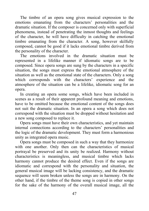The timbre of an opera song gives musical expression to the emotions emanating from the characters' personalities and the dramatic situation. If the composer is concerned only with superficial phenomena, instead of penetrating the inmost thoughts and feelings of the character, he will have difficulty in catching the emotional timbre emanating from the character. A song, however skilfully composed, cannot be good if it lacks emotional timbre derived from the personality of the character.

The emotions involved in the dramatic situation must be represented in a lifelike manner if idiomatic songs are to be composed. Since opera songs are sung by the characters in a specific situation, the songs must express the emotional atmosphere of the situation as well as the emotional state of the characters. Only a song which corresponds with the characters' experience and the atmosphere of the situation can be a lifelike, idiomatic song for an opera.

In creating an opera some songs, which have been included in scenes as a result of their apparent profound meaning and emotions, have to be omitted because the emotional content of the songs does not suit the dramatic situation. In an opera a song which does not correspond with the situation must be dropped without hesitation and a new song composed to replace it.

Opera songs must have their own characteristics, and yet maintain internal connections according to the characters' personalities and the logic of the dramatic development. They must form a harmonious unity as integrated opera music.

Opera songs must be composed in such a way that they harmonize with one another. Only then can the characteristics of musical portrayal be preserved and its unity be realized. Harmony without characteristics is meaningless, and musical timbre which lacks harmony cannot produce the desired effect. Even if the songs are idiomatic and correspond with the personality and situation, the general musical image will be lacking consistency, and the dramatic sequence will seem broken unless the songs are in harmony. On the other hand, if the timbre of the theme song is copied in other songs for the sake of the harmony of the overall musical image, all the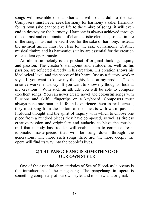songs will resemble one another and will sound dull to the ear. Composers must never seek harmony for harmony's sake. Harmony for its own sake cannot give life to the timbre of songs; it will even end in destroying the harmony. Harmony is always achieved through the contrast and combination of characteristic elements, so the timbre of the songs must not be sacrificed for the sake of harmony. Instead, the musical timbre must be clear for the sake of harmony. Distinct musical timbre and its harmonious unity are essential for the creation of excellent opera music.

An idiomatic melody is the product of original thinking, inquiry and passion. The creator's standpoint and attitude, as well as his passion, are reflected directly in his creation. His creation shows his ideological level and the scope of his heart. Just as a factory worker says "If you want to know my thoughts, look at my products," so a creative worker must say "If you want to know my thoughts, look at my creations." With such an attitude you will be able to compose excellent songs. You can never create novel and colourful songs with illusions and skilful fingertips on a keyboard. Composers must always penetrate man and life and experience them in real earnest; they must sing from the bottom of their hearts with warm passion. Profound thought and the spirit of inquiry with which to choose one piece from a hundred pieces they have composed, as well as tireless creative passion and originality and audacity to blaze the musical trail that nobody has trodden will enable them to compose fresh, idiomatic masterpieces that will be sung down through the generations. The more such songs there are, the more deeply the opera will find its way into the people's lives.

## **2) THE PANGCHANG IS SOMETHING OF OUR OWN STYLE**

One of the essential characteristics of Sea of Blood-style operas is the introduction of the pangchang. The pangchang in opera is something completely of our own style, and it is new and original.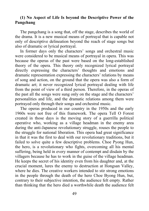## **(1) No Aspect of Life Is beyond the Descriptive Power of the Pangchang**

The pangchang is a song that, off the stage, describes the world of the drama. It is a new musical means of portrayal that is capable not only of descriptive delineation beyond the reach of stage songs but also of dramatic or lyrical portrayal.

In former days only the characters' songs and orchestral music were considered to be musical means of portrayal in opera. This was because the operas of the past were based on the long-established theory of the opera. This theory only recognized lyrical portrayal directly expressing the characters' thoughts and emotions and dramatic representation expressing the characters' relations by means of song and action, on the ground that the opera was also a form of dramatic art; it never recognized lyrical portrayal dealing with life from the point of view of a third person. Therefore, in the operas of the past all the songs were sung only on the stage and the characters' personalities and life, and the dramatic relations among them were portrayed only through their songs and orchestral music.

The operas produced in our country in the 1950s and the early 1960s were not free of this framework. The opera Tell O Forest created in those days is the moving story of a guerrilla political operative who, working as a village headman in the enemy area during the anti-Japanese revolutionary struggle, rouses the people to the struggle for national liberation. This opera had great significance in that it was the first to deal with our revolutionary traditions, but it failed to solve quite a few descriptive problems. Choe Pyong Hun, the hero, is a revolutionary who fights, overcoming all his mental suffering, being held in every manner of contempt and disdain by the villagers because he has to work in the guise of the village headman. He keeps the secret of his identity even from his daughter and, at the crucial moment, lures the enemy to destruction at Hongsan Valley, where he dies. The creative workers intended to stir strong emotions in the people through the death of the hero Choe Byong Hun, but, contrary to their subjective intention, the audience felt empty. Rather than thinking that the hero died a worthwhile death the audience felt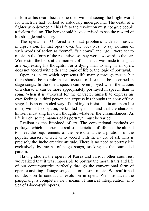forlorn at his death because he died without seeing the bright world for which he had worked so arduously underground. The death of a fighter who devoted all his life to the revolution must not give people a forlorn feeling. The hero should have survived to see the reward of his struggle and victory.

The opera Tell O Forest also had problems with its musical interpretation. In that opera even the vocatives, to say nothing of such words of action as "come", "sit down" and "go", were set to music in the form of the recitative, so they were awkward to the ear. Worse still the hero, at the moment of his death, was made to sing an aria expressing his thoughts. For a dying man to sing in an opera does not accord with either the logic of life or the logic of portrayal.

Opera is an art which represents life mainly through music, but there should be no rule that all aspects of life must be described in stage songs. In the opera speech can be employed when the actions of a character can be more appropriately portrayed in speech than in song. When it is awkward for the character himself to express his own feelings, a third person can express his thoughts in song off the stage. It is an outmoded way of thinking to insist that in an opera life must, without exception, be knitted by music and that the character himself must sing his own thoughts, whatever the circumstances. As life is rich, so the manner of its portrayal must be varied.

Realism is the lifeblood of art. The conventional methods of portrayal which hamper the realistic depiction of life must be altered to meet the requirements of the period and the aspirations of the popular masses, as well as to accord with the nature of art. This is precisely the Juche creative attitude. There is no need to portray life exclusively by means of stage songs, sticking to the outmoded pattern.

Having studied the operas of Korea and various other countries, we realized that it was impossible to portray the moral traits and life of our contemporaries perfectly through the conventional form of opera consisting of stage songs and orchestral music. We reaffirmed our decision to conduct a revolution in opera. We introduced the pangchang, a completely new means of musical interpretation, into Sea of Blood-style operas.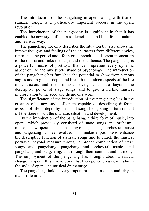The introduction of the pangchang in opera, along with that of stanzaic songs, is a particularly important success in the opera revolution.

The introduction of the pangchang is significant in that it has enabled the new style of opera to depict man and his life in a natural and realistic way.

The pangchang not only describes the situation but also shows the inmost thoughts and feelings of the characters from different angles, represents the period and life in great breadth, adds great momentum to the drama and links the stage and the audience. The pangchang is a powerful means of portrayal that can represent every dynamic aspect of life and any subtle shade of psychology. The introduction of the pangchang has furnished the potential to show from various angles and in greater depth and breadth the hidden aspects of the life of characters and their inmost selves, which are beyond the descriptive power of stage songs, and to give a lifelike musical interpretation to the seed and theme of a work.

The significance of the introduction of the pangchang lies in the creation of a new style of opera capable of describing different aspects of life in depth by means of songs being sung in turn on and off the stage to suit the dramatic situation and development.

By the introduction of the pangchang, a third form of music, into opera, which previously consisted of stage songs and orchestral music, a new opera music consisting of stage songs, orchestral music and pangchang has been evolved. This makes it possible to enhance the descriptive function of stanzaic songs and to enrich the musical portrayal beyond measure through a proper combination of stage songs and pangchang, pangchang and orchestral music, and pangchang and pangchang, and through their contrast and harmony. The employment of the pangchang has brought about a radical change in opera. It is a revolution that has opened up a new realm in the style of opera and musical dramaturgy.

The pangchang holds a very important place in opera and plays a major role in it.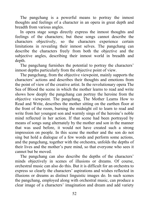The pangchang is a powerful means to portray the inmost thoughts and feelings of a character in an opera in great depth and breadth from various angles.

In opera stage songs directly express the inmost thoughts and feelings of the characters; but these songs cannot describe the characters objectively, so the characters experience certain limitations in revealing their inmost selves. The pangchang can describe the characters freely from both the objective and the subjective angles, describing their inmost world in breadth and depth.

The pangchang furnishes the potential to portray the characters' inmost depths particularly from the objective point of view.

The pangchang, from the objective viewpoint, mainly supports the characters' actions and describes their thoughts and emotions from the point of view of the creative artist. In the revolutionary opera The Sea of Blood the scene in which the mother learns to read and write shows how deeply the pangchang can portray the heroine from the objective viewpoint. The pangchang, The Mother Learns How to Read and Write, describes the mother sitting on the earthen floor at the front of the room, burning the midnight oil to learn to read and write from her youngest son and warmly sings of the heroine's noble mind reflected in her action. If that scene had been portrayed by means of songs sung alternately by the mother and son in the manner that was used before, it would not have created such a strong impression on people. In this scene the mother and the son do not sing but hold a dialogue of a few words and perform some actions, and the pangchang, together with the orchestra, unfolds the depths of their lives and the mother's pure mind, so that everyone who sees it cannot but be moved.

The pangchang can also describe the depths of the characters' minds objectively in scenes of illusions or dreams. Of course, orchestral music can also do this. But it is difficult for an orchestra to express so clearly the characters' aspirations and wishes reflected in illusions or dreams as distinct linguistic images do. In such scenes the pangchang, employed along with orchestral music, can produce a clear image of a characters' imagination and dream and add variety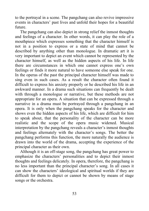to the portrayal in a scene. The pangchang can also revive impressive events in characters' past lives and unfold their hopes for a beautiful future.

The pangchang can also depict in strong relief the inmost thoughts and feelings of a character. In other words, it can play the role of a mouthpiece which expresses something that the character himself is not in a position to express or a state of mind that cannot be described by anything other than monologue. In dramatic art it is very important to depict an event which cannot be represented by the character himself, as well as the hidden aspects of his life. In life there are circumstances in which one cannot express one's own feelings or finds it more natural to have someone else speak for one. In the operas of the past the principal character himself was made to sing even in such cases. As a result the character often found it difficult to express his anxiety properly or he described his life in an awkward manner. In a drama such situations can frequently be dealt with through a monologue or narrative, but these methods are not appropriate for an opera. A situation that can be expressed through a narrative in a drama must be portrayed through a pangchang in an opera. It is only when the pangchang speaks for the character and shows even the hidden aspects of his life, which are difficult for him to speak about, that the personality of the character can be more realistic and the scope of the opera music widened. Musical interpretation by the pangchang reveals a character's inmost thoughts and feelings alternately with the character's songs. The better the pangchang performs this function, the more naturally the audience is drawn into the world of the drama, accepting the experience of the principal character as their own.

Although it is an off-stage song, the pangchang has great power to emphasize the characters' personalities and to depict their inmost thoughts and feelings delicately. In opera, therefore, the pangchang is no less important than the principal character's song. In all cases it can show the characters' ideological and spiritual worlds if they are difficult for them to depict or cannot be shown by means of stage songs or the orchestra.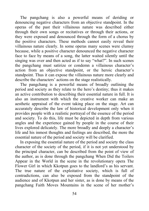The pangchang is also a powerful means of deriding or denouncing negative characters from an objective standpoint. In the operas of the past their villainous nature was described either through their own songs or recitatives or through their actions, or they were exposed and denounced through the form of a chorus by the positive characters. These methods cannot easily reveal their villainous nature clearly. In some operas many scenes were clumsy because, while a positive character denounced the negative character face to face by means of a song, the latter waited silently until the singing was over and then acted as if to say "what?". In such scenes the pangchang must satirize or condemn a villainous character's action from an objective standpoint, or the heroic character's standpoint. Thus it can expose the villainous nature more clearly and describe the characters' actions on the stage realistically.

The pangchang is a powerful means of broadly outlining the period and society as they relate to the hero's destiny; thus it makes an active contribution to describing their essential nature in full. It is also an instrument with which the creative worker can make an aesthetic appraisal of the event taking place on the stage. Art can accurately describe the law of historical development only when it provides people with a realistic portrayal of the essence of the period and society. To do this, life must be depicted in depth from various angles and the experience gained by people in the course of their lives explored delicately. The more broadly and deeply a character's life and his inmost thoughts and feelings are described, the more the essential nature of the period and society will be clarified.

In exposing the essential nature of the period and society the class character of the society of the period, if it is not yet understood by the principal character, can be described from the point of view of the author, as is done through the pangchang When Did the Toilers Appear in the World in the scene in the revolutionary opera The Flower Girl in which Kkotpun goes to the landlord's as his servant. The true nature of the exploitative society, which is full of contradictions, can also be exposed from the standpoint of the audience and of Kkotpun and her sister, as is done by means of the pangchang Faith Moves Mountains in the scene of her mother's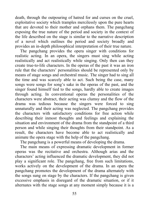death, through the outpouring of hatred for and curses on the cruel, exploitative society which tramples mercilessly upon the pure hearts that are devoted to their mother and orphans them. The pangchang exposing the true nature of the period and society in the context of the life described on the stage is similar to the narrative description of a novel which outlines the period and society broadly and provides an in-depth philosophical interpretation of their true nature.

The pangchang provides the opera singer with conditions for realistic acting. In an opera, the singers must sing while acting realistically and act realistically while singing. Only then can they create true-to-life characters. In the operas of the past it was an iron rule that the characters' personalities should be represented only by means of stage songs and orchestral music. The singer had to sing all the time and was scarcely able to act. Such being the case, many songs were songs for song's sake in the operas of the past, and the singer found himself tied to the songs, hardly able to create images through acting. In conventional operas the personalities of the characters were abstract, their acting was clumsy and the flow of the drama was tedious because the singers were forced to sing unnaturally and their acting was neglected. The pangchang provides the characters with satisfactory conditions for free action while describing their inmost thoughts and feelings and explaining the situation and environment of the drama from the standpoint of a third person and while singing their thoughts from their standpoint. As a result, the characters have become able to act realistically and animate the opera stage with the help of the pangchang.

The pangchang is a powerful means of developing the drama.

The main means of expressing dramatic development in former operas was the recitative and orchestra. Although arias and the characters' acting influenced the dramatic development, they did not play a significant role. The pangchang, free from such limitations, works actively on the development of the drama. In an opera the pangchang promotes the development of the drama alternately with the songs sung on stage by the characters. If the pangchang is given excessive emphasis in disregard of the dramatic situation, or if it alternates with the stage songs at any moment simply because it is a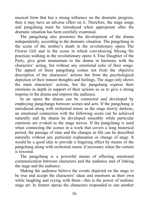musical form that has a strong influence on the dramatic progress, then it may have an adverse effect on it. Therefore, the stage songs and pangchang must be introduced when appropriate after the dramatic situation has been carefully examined.

The pangchang also promotes the development of the drama independently, according to the dramatic situation. The pangchang in the scene of the mother's death in the revolutionary opera The Flower Girl and in the scene in which convalescing Myong Ho practises walking in the revolutionary opera A True Daughter of the Party, give great momentum to the drama in harmony with the characters' acting, but without any emotional echo of their songs. The appeal of these pangchang comes not from the objective description of the characters' actions but from the psychological depiction of their inmost thoughts and feelings. The stage only shows the main characters' actions, but the pangchang express their emotions in depth in support of their actions so as to give a strong impetus to the drama and impress the audience.

In an opera the drama can be connected and developed by employing pangchangs between scenes and acts. If the pangchang is introduced along with orchestral music as the stage slowly darkens, an emotional connection with the following scene can be achieved naturally and the drama be developed smoothly while particular emotions are evoked as the stage moves. If the pangchang is used when connecting the scenes in a work that covers a long historical period, the passage of time and the changes in life can be described naturally without any particular explanation or change of stage. It would be a good idea to provide a lingering effect by means of the pangchang along with orchestral music if necessary when the curtain is lowered.

The pangchang is a powerful means of effecting emotional communication between characters and the audience and of linking the stage and the audience.

Making the audience believe the events depicted on the stage to be true and accept the characters' ideas and emotions as their own while laughing and crying with them—this is the power of realistic stage art. In former operas the characters responded to one another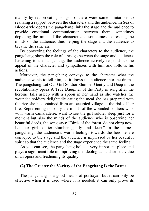mainly by reciprocating songs, so there were some limitations to realizing a rapport between the characters and the audience. In Sea of Blood-style operas the pangchang links the stage and the audience to provide emotional communication between them, sometimes depicting the mind of the character and sometimes expressing the minds of the audience, thus helping the stage and the audience to breathe the same air.

By conveying the feelings of the characters to the audience, the pangchang plays the role of a bridge between the stage and audience. Listening to the pangchang, the audience actively responds to the appeal of the character and sympathizes with him and follows his actions.

Moreover, the pangchang conveys to the character what the audience wants to tell him, so it draws the audience into the drama. The pangchang Let Our Girl Soldier Slumber Gently and Deep in the revolutionary opera A True Daughter of the Party is sung after the heroine falls asleep with a spoon in her hand as she watches the wounded soldiers delightedly eating the meal she has prepared with the rice she has obtained from an occupied village at the risk of her life. Representing not only the minds of the wounded soldiers who, with warm camaraderie, want to see the girl soldier sleep just for a moment but also the minds of the audience who is observing her beautiful deeds, the song says: "Birds of the forest, do not chirp now! Let our girl soldier slumber gently and deep." In the earnest pangchang, the audience's warm feelings towards the heroine are conveyed to the stage and the audience is impressed by her beautiful spirit so that the audience and the stage experience the same feeling.

As you can see, the pangchang holds a very important place and plays a significant role in improving the ideological and artistic value of an opera and freshening its quality.

#### **(2) The Greater the Variety of the Pangchang Is the Better**

The pangchang is a good means of portrayal, but it can only be effective when it is used where it is needed; it can only prove its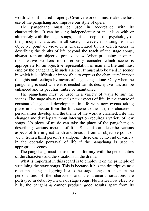worth when it is used properly. Creative workers must make the best use of the pangchang and improve our style of opera.

The pangchang must be used in accordance with its characteristics. It can be sung independently or in unison with or alternately with the stage songs, or it can depict the psychology of the principal character. In all cases, however, it is sung from an objective point of view. It is characterized by its effectiveness in describing the depths of life beyond the reach of the stage songs, always from an objective point of view. When producing an opera, the creative workers must seriously consider which scene is appropriate for an objective representation of man and life and must employ the pangchang in such a scene. It must also be used in scenes in which it is difficult or impossible to express the characters' inmost thoughts and feelings by means of stage songs alone. Only when the pangchang is used where it is needed can its descriptive function be enhanced and its peculiar timbre be maintained.

The pangchang must be used in a variety of ways to suit the scenes. The stage always reveals new aspects of life. In the course of constant change and development in life with new events taking place in succession from the first scene to the last, the characters' personalities develop and the theme of the work is clarified. Life that changes and develops without interruption requires a variety of new songs. No piece of music can take the place of the pangchang in describing various aspects of life. Since it can describe various aspects of life in great depth and breadth from an objective point of view, from a third person's standpoint, there can be no end of variety in the operatic portrayal of life if the pangchang is used in appropriate scenes.

The pangchang must be used in conformity with the personalities of the characters and the situations in the drama.

What is important in this regard is to employ it on the principle of sustaining the stage songs. This is because it has the descriptive task of emphasizing and giving life to the stage songs. In an opera the personalities of the characters and the dramatic situations are portrayed in detail by means of stage songs. No matter how effective it is, the pangchang cannot produce good results apart from its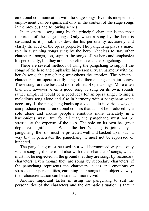emotional communication with the stage songs. Even its independent employment can be significant only in the context of the stage songs in the previous and following scenes.

In an opera a song sung by the principal character is the most important of the stage songs. Only when a song by the hero is sustained is it possible to describe his personality accurately and clarify the seed of the opera properly. The pangchang plays a major role in sustaining songs sung by the hero. Needless to say, other characters' songs, too, support the songs of the hero and emphasize his personality, but they are not so effective as the pangchang.

There are several methods of using the pangchang to support the songs of the hero and emphasize his personality. In harmony with the hero's song, the pangchang strengthens the emotion. The principal character in an opera usually sings the theme song or major songs. These songs are the best and most refined of opera songs. More often than not, however, even a good song, if sung on its own, sounds rather simple. It would be a good idea for an opera singer to sing a melodious song alone and also in harmony with a pangchang when necessary. If the pangchang backs up a vocal solo in various ways, it can produce peculiar emotional colours that cannot be produced by a solo alone and arouse people's emotions more delicately in a harmonious way. But, for all that, the pangchang must not be stressed at the expense of the solo. The solo on its own has great depictive significance. When the hero's song is joined by a pangchang, the solo must be protected well and backed up in such a way that it penetrates the pangchang; it must not be repressed or hindered.

The pangchang must be used in a well-harmonized way not only with a song by the hero but also with other characters' songs, which must not be neglected on the ground that they are songs by secondary characters. Even though they are songs by secondary characters, if the pangchang represents the characters' ideas and emotions or stresses their personalities, enriching their songs in an objective way, their characterization can be so much more vivid.

Another important factor in using the pangchang to suit the personalities of the characters and the dramatic situation is that it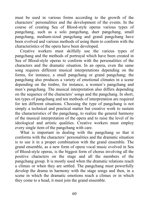must be used in various forms according to the growth of the characters' personalities and the development of the events. In the course of creating Sea of Blood-style operas various types of pangchang, such as a solo pangchang, duet pangchang, small pangchang, medium-sized pangchang and grand pangchang have been evolved and various methods of using them to conform with the characteristics of the opera have been developed.

Creative workers must skilfully use the various types of pangchang and the methods of portrayal which have been created in Sea of Blood-style operas to conform with the personalities of the characters and the dramatic situation. In an opera, even the same song requires different musical interpretations depending on the forms, for instance, a small pangchang or grand pangchang; the pangchang also produces a variety of emotional climates in a scene depending on the timbre, for instance, a women's pangchang and men's pangchang. The musical interpretation also differs depending on the sequence of the characters' songs and the pangchang. In short, ten types of pangchang and ten methods of interpretation are required for ten different situations. Choosing the type of pangchang is not simply a technical and practical matter but creative work to sustain the characteristics of the pangchang, to realize the general harmony of the musical interpretation of the opera and to raise the level of its ideological and artistic qualities. Creative workers must employ every single item of the pangchang with care.

What is important in dealing with the pangchang so that it conforms with the characters' personalities and the dramatic situation is to use it in a proper combination with the grand ensemble. The grand ensemble, as a new form of opera vocal music evolved in Sea of Blood-style operas, is the biggest form of chorus involving all the positive characters on the stage and all the members of the pangchang group. It is mostly used when the dramatic relations reach a climax or when they are settled. The pangchang must powerfully develop the drama in harmony with the stage songs and then, in a scene in which the dramatic emotions reach a climax or in which they come to a head, it must join the grand ensemble.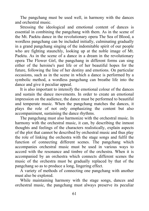The pangchang must be used well, in harmony with the dances and orchestral music.

Stressing the ideological and emotional content of dances is essential in combining the pangchang with them. As in the scene of the Mt. Paektu dance in the revolutionary opera The Sea of Blood, a wordless pangchang can be included initially, culminating gradually in a grand pangchang singing of the indomitable spirit of our people who are fighting staunchly, looking up at the noble image of Mt. Paektu. As in the scene of a dance in a dream in the revolutionary opera The Flower Girl, the pangchang in different forms can sing either of the heroine's past life or of her beautiful hopes for the future, following the line of her destiny and emotions. On particular occasions, such as in the scene in which a dance is performed by a symbolic method, a wordless pangchang can breathe life into the dance and give it peculiar appeal.

It is also important to intensify the emotional colour of the dances and sustain the dance movements. In order to create an emotional impression on the audience, the dance must be performed to beautiful and temperate music. When the pangchang matches the dances, it plays the role of not only emphasizing the content but also accompaniment, sustaining the dance rhythms.

The pangchang must also harmonize with the orchestral music. In harmony with the orchestral music, it can, by describing the inmost thoughts and feelings of the characters realistically, explain aspects of the plot that cannot be described by orchestral music and thus play the role of linking the orchestra with the stage songs and fulfil the function of connecting different scenes. The pangchang which accompanies orchestral music must be used in various ways to accord with the resonance and timbre of the orchestra. When it is accompanied by an orchestra which connects different scenes the music of the orchestra must be gradually replaced by that of the pangchang so as to produce a long, lingering effect.

A variety of methods of connecting one pangchang with another must also be explored.

While maintaining harmony with the stage songs, dances and orchestral music, the pangchang must always preserve its peculiar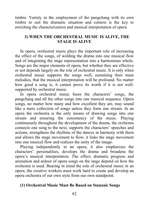timbre. Variety in the employment of the pangchang with its own timbre to suit the dramatic situation and context is the key to enriching the characterization and musical interpretation of opera.

# **3) WHEN THE ORCHESTRAL MUSIC IS ALIVE, THE STAGE IS ALIVE**

In opera, orchestral music plays the important role of increasing the effect of the songs, of welding the drama into one musical flow and of integrating the stage representation into a harmonious whole. Songs are the major elements of opera, but whether they are effective or not depends largely on the role of orchestral music. It is only when orchestral music supports the songs well, sustaining their main melodies, that the musical interpretation will be profound. No matter how good a song is, it cannot prove its worth if it is not wellsupported by orchestral music.

In opera orchestral music fuses the characters' songs, the pangchang and all the other songs into one musical sequence. Opera songs, no matter how many and how excellent they are, may sound like a mere collection of songs unless they form one stream. In an opera the orchestra is the only means of drawing songs into one stream and ensuring the consistency of the music. Playing continuously throughout the development of the drama, the orchestra connects one song to the next, supports the characters' speeches and actions, strengthens the rhythms of the dances in harmony with them and allows the stage movement to flow; it links the stage movement into one musical flow and realizes the unity of the image.

Playing independently in an opera, it also emphasizes the characters' personalities, develops the drama and broadens the opera's musical interpretation. The effect, dramatic progress and animation and ardour of opera songs on the stage depend on how the orchestra is used. Bearing in mind the role of orchestral music in an opera, the creative workers must work hard to create and develop an opera orchestra of our own style from our own standpoint.

# **(1) Orchestral Music Must Be Based on Stanzaic Songs**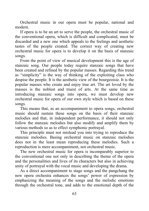Orchestral music in our opera must be popular, national and modern.

If opera is to be an art to serve the people, the orchestral music of the conventional opera, which is difficult and complicated, must be discarded and a new one which appeals to the feelings and aesthetic tastes of the people created. The correct way of creating new orchestral music for opera is to develop it on the basis of stanzaic songs.

From the point of view of musical development this is the age of stanzaic song. Our people today require stanzaic songs that have been created and refined by the popular masses. Regarding this trend as "simplicity" is the way of thinking of the exploiting class who despise the people. It is the aesthetic view of the bourgeoisie. It is the popular masses who create and enjoy true art. The art loved by the masses is the noblest and truest of arts. At the same time as introducing stanzaic songs into opera, we must develop new orchestral music for opera of our own style which is based on these songs.

This means that, as an accompaniment to opera songs, orchestral music should sustain these songs on the basis of their stanzaic melodies and that, in independent performance, it should not only follow the stanzaic melodies but also modify and amplify them by various methods so as to effect symphonic portrayal.

This principle must not mislead you into trying to reproduce the stanzaic melodies. Basing orchestral music on stanzaic melodies does not in the least mean reproducing these melodies. Such a reproduction is mere accompaniment, not orchestral music.

The new orchestral music for opera is incomparably superior to the conventional one not only in describing the theme of the opera and the personalities and lives of its characters but also in achieving unity of portrayal with the vocal music and developing the drama.

As a direct accompaniment to stage songs and the pangchang the new opera orchestra enhances the songs' power of expression by emphasizing the meaning of the songs and the melodic emotions through the orchestral tone, and adds to the emotional depth of the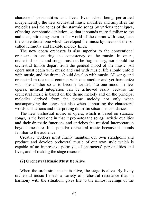characters' personalities and lives. Even when being performed independently, the new orchestral music modifies and amplifies the melodies and the tones of the stanzaic songs by various techniques, effecting symphonic depiction, so that it sounds more familiar to the audience, attracting them to the world of the drama with ease, than the conventional one which developed the music by means of the socalled leitmotiv and flexible melody lines.

The new opera orchestra is also superior to the conventional orchestra in ensuring the consistency of the music. In opera, orchestral music and songs must not be fragmentary, nor should the orchestral timbre depart from the general mood of the music. An opera must begin with music and end with music; life should unfold with music, and the drama should develop with music. All songs and orchestral music must contrast with one another and yet harmonize with one another so as to become welded into one mood. In new operas, musical integration can be achieved easily because the orchestral music is based on the theme melody and on the principal melodies derived from the theme melody not only when accompanying the songs but also when supporting the characters' words and actions and interpreting dramatic situations and dances.

The new orchestral music of opera, which is based on stanzaic songs, is the best one in that it promotes the songs' artistic qualities and their dramatic functions and enriches the musical interpretation beyond measure. It is popular orchestral music because it sounds familiar to the audience.

Creative workers must firmly maintain our own standpoint and produce and develop orchestral music of our own style which is capable of an impressive portrayal of characters' personalities and lives, and of making the stage resound.

# **(2) Orchestral Music Must Be Alive**

When the orchestral music is alive, the stage is alive. By lively orchestral music I mean a variety of orchestral resonance that, in harmony with the situation, gives life to the inmost feelings of the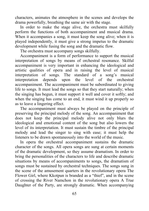characters, animates the atmosphere in the scenes and develops the drama powerfully, breathing the same air with the stage.

In order to make the stage alive, the orchestra must skilfully perform the functions of both accompaniment and musical drama. When it accompanies a song, it must keep the song alive; when it is played independently, it must give a strong impetus to the dramatic development while fusing the song and the dramatic flow.

The orchestra must accompany songs skilfully.

Accompaniment is a form of performance to support the musical interpretation of songs by means of orchestral resonance. Skilful accompaniment is very important in enhancing the ideological and artistic qualities of opera and in raising the level of musical interpretation of songs. The standard of a song's musical interpretation depends upon the level of the orchestral accompaniment. The accompaniment must be subordinated to giving life to songs. It must lead the songs so that they start naturally; when the singing has begun, it must support it well and cover it softly; and when the singing has come to an end, it must wind it up properly so as to leave a lingering effect.

The accompaniment must always be played on the principle of preserving the principal melody of the song. An accompaniment that does not keep the principal melody alive not only blurs the ideological and emotional content of the song but also lowers the level of its interpretation. It must sustain the timbre of the principal melody and lead the singer to sing with ease; it must help the listeners to be drawn spontaneously into the world of the music.

In opera the orchestral accompaniment sustains the dramatic character of the songs. All opera songs are sung at certain moments of the dramatic development, so they assume dramatism. In order to bring the personalities of the characters to life and describe dramatic situations by means of accompaniments to songs, the dramatism of songs must be sustained by orchestral techniques. The songs sung in the scene of the amusement quarters in the revolutionary opera The Flower Girl, where Kkotpun is branded as a "thief", and in the scene of crossing the River Namchon in the revolutionary opera A True Daughter of the Party, are strongly dramatic. When accompanying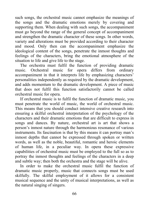such songs, the orchestral music cannot emphasize the meanings of the songs and the dramatic emotions merely by covering and supporting them. When dealing with such songs, the accompaniment must go beyond the range of the general concept of accompaniment and strengthen the dramatic character of these songs. In other words, variety and alterations must be provided according to their character and mood. Only then can the accompaniment emphasize the ideological content of the songs, penetrate the inmost thoughts and feelings of the characters, bring the emotional atmosphere of the situation to life and give life to the stage.

The orchestra must fulfil the function of providing dramatic music. Orchestral music for opera differs from ordinary accompaniment in that it interprets life by emphasizing characters' personalities independently as required by the dramatic development, and adds momentum to the dramatic development. A piece of music that does not fulfil this function satisfactorily cannot be called orchestral music for opera.

If orchestral music is to fulfil the function of dramatic music, you must penetrate the world of music, the world of orchestral music. This means that you should conduct intensive creative research into ensuring a skilful orchestral interpretation of the psychology of the characters and their dramatic emotions that are difficult to express in songs and dances. By nature, orchestral art is art that shows a person's inmost nature through the harmonious resonance of various instruments. Its fascination is that by this means it can portray man's inmost depths that cannot be expressed through spoken or written words, as well as the noble, beautiful, romantic and heroic elements of human life, in a peculiar way. In opera these expressive capabilities of orchestral music must be employed to the full so as to portray the inmost thoughts and feelings of the characters in a deep and subtle way; then both the orchestra and the stage will be alive.

In order to make the orchestral music fulfil the function of dramatic music properly, music that connects songs must be used skilfully. The skilful employment of it allows for a consistent musical sequence and the unity of musical interpretations, as well as the natural singing of singers.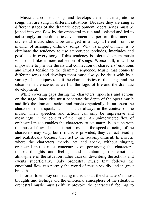Music that connects songs and develops them must integrate the songs that are sung in different situations. Because they are sung at different stages of the dramatic development, opera songs must be joined into one flow by the orchestral music and assisted and led to act strongly on the dramatic development. To perform this function, orchestral music should be arranged in a way different from the manner of arranging ordinary songs. What is important here is to eliminate the tendency to use stereotyped preludes, interludes and postludes in every song. If this tendency is tolerated, opera music will sound like a mere collection of songs. Worse still, it will be impossible to provide the natural connection of characters' emotions and impart tension to the dramatic sequence. Music that connects different songs and develops them must always be dealt with by a variety of techniques to suit the characteristics of the songs and the situation in the scene, as well as the logic of life and the dramatic development.

While covering gaps during the characters' speeches and actions on the stage, interludes must penetrate the depth of the opera music and link the dramatic action and music organically. In an opera the characters must speak, act and dance always in the context of the music. Their speeches and actions can only be impressive and meaningful in the context of the music. An uninterrupted flow of orchestral music enables the characters to act naturally in tune with the musical flow. If music is not provided, the speed of acting of the characters may vary; but if music is provided, they can act steadily and realistically because they act to the accompaniment. In a scene where the characters merely act and speak, without singing, orchestral music must concentrate on portraying the characters' inmost thoughts and feelings and maintaining the emotional atmosphere of the situation rather than on describing the actions and events superficially. Only orchestral music that follows the emotional flow can portray the world of music vividly and in great breadth.

In order to employ connecting music to suit the characters' inmost thoughts and feelings and the emotional atmosphere of the situation, orchestral music must skilfully provoke the characters' feelings to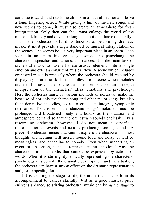continue towards and reach the climax in a natural manner and leave a long, lingering effect. While giving a hint of the new songs and new scenes to come, it must also create an atmosphere for fresh interpretation. Only then can the drama enlarge the world of the music indefinitely and develop along the emotional line exuberantly.

For the orchestra to fulfil its function of performing dramatic music, it must provide a high standard of musical interpretation of the scenes. The scenes hold a very important place in an opera. Each scene in an opera involves stage songs, the pangchang, the characters' speeches and actions, and dances. It is the main task of orchestral music to fuse all these artistic elements into a single emotion and effect a consistent musical flow. A scene which includes orchestral music is precisely where the orchestra should resound by displaying its artistic skill to the fullest. In a scene which includes orchestral music, the orchestra must emphasize an in-depth interpretation of the characters' ideas, emotions and psychology. Here the orchestra must, by various methods of portrayal, make the best use of not only the theme song and other major songs but also their derivative melodies, so as to create an integral, symphonic resonance. To this end, the stanzaic songs' melodies must be prolonged and broadened freely and boldly as the situation and atmosphere demand so that the orchestra resounds endlessly. By a resounding orchestra, however, I do not mean a superficial representation of events and actions producing roaring sounds. A piece of orchestral music that cannot express the characters' inmost thoughts and feelings will merely sound loud and noisy. It will be meaningless, and appealing to nobody. Even when supporting an event or an action, it must represent in an emotional way the characters' inmost depths that cannot be expressed by actions or words. When it is stirring, dynamically representing the characters' psychology in step with the dramatic development and the situation, the orchestra can have a strong effect on the dramatic representation and great appealing force.

If it is to bring the stage to life, the orchestra must perform its accompaniment to dances skilfully. Just as a good musical piece enlivens a dance, so stirring orchestral music can bring the stage to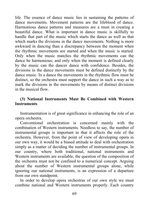life. The essence of dance music lies in sustaining the patterns of dance movements. Movement patterns are the lifeblood of dance. Harmonious dance patterns and measures are a must in creating a beautiful dance. What is important in dance music is skilfully to handle that part of the music which starts the dance as well as that which marks the divisions in the dance movements. Nothing is more awkward in dancing than a discrepancy between the moment when the rhythmic movements are started and when the music is started. Only when the music matches the rhythmic movements can the dance be harmonious; and only when the moment is defined clearly by the music can the dancer dance with confidence. Besides, the divisions in the dance movements must be defined distinctly by the dance music. In a dance the movements in the rhythmic flow must be distinct, so the orchestra must support the dance in such a way as to mark the divisions in the movements by means of distinct divisions in the musical flow.

### **(3) National Instruments Must Be Combined with Western Instruments**

Instrumentation is of great significance in enhancing the role of an opera orchestra.

Conventional orchestration is concerned mainly with the combination of Western instruments. Needless to say, the number of instrumental groups is important in that it affects the role of the orchestra. However, from the point of view of developing opera in our own way, it would be a biased attitude to deal with orchestration simply as a matter of deciding the number of instrumental groups. In our country, where both traditional, national instruments and Western instruments are available, the question of the composition of the orchestra must not be confined to a numerical concept. Arguing about the number of Western instrumental groups alone, while ignoring our national instruments, is an expression of a departure from our own standpoint.

In order to develop opera orchestras of our own style we must combine national and Western instruments properly. Each country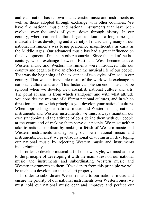and each nation has its own characteristic music and instruments as well as those adopted through exchange with other countries. We have fine national music and national instruments that have been evolved over thousands of years, down through history. In our country, where national culture began to flourish a long time ago, musical art was developing and a variety of music using many of our national instruments was being performed magnificently as early as the Middle Ages. Our advanced music has had a great influence on the development of music in other countries. Since the end of the last century, when exchange between East and West became active, Western music and Western instruments were introduced into our country and began to have an effect on the musical life of our people. That was the beginning of the existence of two styles of music in our country. That was an inevitable result of the worldwide exchange in national culture and arts. This historical phenomenon must not be ignored when we develop new socialist, national culture and arts. The point at issue is from which standpoint and with what attitude you consider the mixture of different national cultures, and in which direction and on which principles you develop your national culture. When approaching our national music and Western music, national instruments and Western instruments, we must always maintain our own standpoint and the attitude of considering them with our people at the centre and of making them serve our people. We must neither take to national nihilism by making a fetish of Western music and Western instruments and ignoring our own national music and instruments, nor must we practise national chauvinism in developing our national music by rejecting Western music and instruments indiscriminately.

In order to develop musical art of our own style, we must adhere to the principle of developing it with the main stress on our national music and instruments and subordinating Western music and Western instruments to them. If we depart from this principle we will be unable to develop our musical art properly.

In order to subordinate Western music to our national music and ensure the priority of our national instruments over Western ones, we must hold our national music dear and improve and perfect our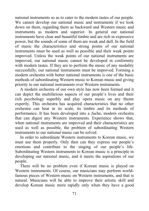national instruments so as to cater to the modern tastes of our people. We cannot develop our national music and instruments if we look down on them, regarding them as backward and Western music and instruments as modern and superior. In general our national instruments have clear and beautiful timbre and are rich in expressive power, but the sounds of some of them are weak and dull. In the field of music the characteristics and strong points of our national instruments must be used as well as possible and their weak points improved. Unless the weak points of our national instruments are improved, our national music cannot be developed in conformity with modern tastes. If they are to perform the music of any modality successfully, our national instruments must be improved. Forming a modern orchestra with better national instruments is one of the basic methods of subordinating Western music to Korean music and giving priority to our national instruments over Western instruments.

A modern orchestra of our own style has now been formed and it can depict the multifarious aspects of our people's lives and their rich psychology superbly and play opera music on any theme expertly. This orchestra has acquired characteristics that no other orchestra can beat in its scale, its timbre and its methods of performance. It has been developed into a Juche, modern orchestra that can digest any Western instruments. Experience shows that, when national instruments are improved and their characteristics are used as well as possible, the problem of subordinating Western instruments to our national music can be solved.

In order to subordinate Western instruments to Korean music, we must use them properly. Only then can they express our people's emotions and contribute to the singing of our people's life. Subordinating Western instruments to Korean music is a principle in developing our national music, and it meets the aspirations of our people.

There will be no problem even if Korean music is played on Western instruments. Of course, our musicians may perform worldfamous pieces of Western music on Western instruments, and that is natural. Musicians will be able to improve their artistic skill and develop Korean music more rapidly only when they have a good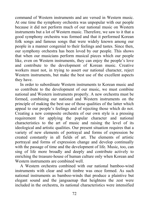command of Western instruments and are versed in Western music. At one time the symphony orchestra was unpopular with our people because it did not perform much of our national music on Western instruments but a lot of Western music. Therefore, we saw to it that a good symphony orchestra was formed and that it performed Korean folk songs and famous songs that were widely known among our people in a manner congenial to their feelings and tastes. Since then, our symphony orchestra has been loved by our people. This shows that when our musicians perform musical pieces which our people like, even on Western instruments, they can enjoy the people's love and contribute to the development of Korean music. Creative workers must not, in trying to assert our national character, reject Western instruments, but make the best use of the excellent aspects they have.

In order to subordinate Western instruments to Korean music and so contribute to the development of our music, we must combine national and Western instruments properly. A new orchestra must be formed, combining our national and Western instruments on the principle of making the best use of those qualities of the latter which appeal to our people's feelings and of rejecting those which do not. Creating a new composite orchestra of our own style is a pressing requirement for applying the popular character and national characteristics to the art of music and raising the level of its ideological and artistic qualities. Our present situation requires that a variety of new elements of portrayal and forms of expression be created constantly in all fields of art. The elements of artistic portrayal and forms of expression change and develop continually with the passage of time and the development of life. Music, too, can sing of life more broadly and deeply and contribute actively to enriching the treasure-house of human culture only when Korean and Western instruments are combined well.

A Western orchestra combined with our national bamboo-wind instruments with clear and soft timbre was once formed. As such national instruments as bamboo-winds that produce a plaintive but elegant sound and the jangsaenap that heightens the zest were included in the orchestra, its national characteristics were intensified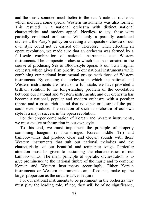and the music sounded much better to the ear. A national orchestra which included some special Western instruments was also formed. This resulted in a national orchestra with distinct national characteristics and modern appeal. Needless to say, these were partially combined orchestras. With only a partially combined orchestra the Party's policy on creating a composite orchestra of our own style could not be carried out. Therefore, when effecting an opera revolution, we made sure that an orchestra was formed by a full-scale combination of national instruments and Western instruments. The composite orchestra which has been created in the course of producing Sea of Blood-style operas is our own original orchestra which gives firm priority to our national instruments while combining our national instrumental groups with those of Western instruments. By creating the orchestra in which the national and Western instruments are fused on a full scale, we have provided a brilliant solution to the long-standing problem of the co-relation between our national and Western instruments, and our orchestra has become a national, popular and modern orchestra with a peculiar timbre and a great, rich sound that no other orchestra of the past could ever produce. The creation of such an orchestra of our own style is a major success in the opera revolution.

For the proper combination of Korean and Western instruments, we must evolve orchestration in our own style.

To this end, we must implement the principle of properly combining haegum (a four-stringed Korean fiddle—Tr.) and bamboo-winds that produce clear and elegant sounds with those Western instruments that suit our national melodies and the characteristics of our beautiful and temperate songs. Particular attention must be given to sustaining the characteristics of our bamboo-winds. The main principle of operatic orchestration is to give prominence to the national timbre of the music and to combine Korean and Western instruments accordingly. Either Korean instruments or Western instruments can, of course, make up the larger proportion as the circumstances require.

For our national instruments to be prominent in the orchestra they must play the leading role. If not, they will be of no significance,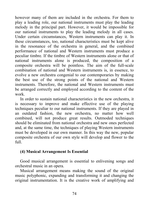however many of them are included in the orchestra. For them to play a leading role, our national instruments must play the leading melody in the principal part. However, it would be impossible for our national instruments to play the leading melody in all cases. Under certain circumstances, Western instruments can play it. In these circumstances, too, national characteristics must be kept alive in the resonance of the orchestra in general, and the combined performance of national and Western instruments must produce a peculiar timbre. If the timbre of Western instruments alone or that of national instruments alone is produced, the composition of a composite orchestra will be pointless. The aim of the full-scale combination of national and Western instruments is, in essence, to evolve a new orchestra congenial to our contemporaries by making the best use of the strong points of the national and Western instruments. Therefore, the national and Western instruments must be arranged correctly and employed according to the content of the work.

In order to sustain national characteristics in the new orchestra, it is necessary to improve and make effective use of the playing techniques peculiar to our national instruments. If they are played in an outdated fashion, the new orchestra, no matter how well combined, will not produce great results. Outmoded techniques should be eliminated from national orchestra and new ones perfected and, at the same time, the techniques of playing Western instruments must be developed in our own manner. In this way the new, popular composite orchestra of our own style will develop and flower to the full.

## **(4) Musical Arrangement Is Essential**

Good musical arrangement is essential to enlivening songs and orchestral music in an opera.

Musical arrangement means making the sound of the original music polyphonic, expanding and transforming it and changing the original instrumentation. It is the creative work of amplifying and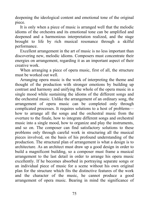deepening the ideological content and emotional tone of the original piece.

It is only when a piece of music is arranged well that the melodic idioms of the orchestra and its emotional tone can be amplified and deepened and a harmonious interpretation realized, and the stage brought to life by rich musical resonance through a skilful performance.

Excellent arrangement in the art of music is no less important than discovering new, melodic idioms. Composers must concentrate their energies on arrangement, regarding it as an important aspect of their creative work.

When arranging a piece of opera music, first of all, the structure must be worked out well.

Arranging opera music is the work of interpreting the theme and thought of the production with stronger emotions by building up contrast and harmony and unifying the whole of the opera music in a single mood while sustaining the idioms of the different songs and the orchestral music. Unlike the arrangement of an ordinary song, the arrangement of opera music can be completed only through complicated processes. It requires solutions to a host of problems how to arrange all the songs and the orchestral music from the overture to the finale, how to integrate different songs and orchestral music into a single mood, how to organize and play the instruments, and so on. The composer can find satisfactory solutions to these problems only through careful work in structuring all the musical pieces involved, on the basis of his profound understanding of the production. The structural plan of arrangement is what a design is to architecture. As an architect must draw up a good design in order to build a magnificent building, so a composer must frame a musical arrangement to the last detail in order to arrange his opera music excellently. If he becomes absorbed in portraying separate songs or an individual piece of music for a scene without his own original plan for the structure which fits the distinctive features of the work and the character of the music, he cannot produce a good arrangement of opera music. Bearing in mind the significance of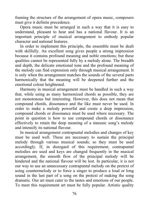framing the structure of the arrangement of opera music, composers must give it definite precedence.

Opera music must be arranged in such a way that it is easy to understand, pleasant to hear and has a national flavour. It is an important principle of musical arrangement to embody popular character and national features.

In order to implement this principle, the ensemble must be dealt with skilfully. An excellent song gives people a strong impression because it contains profound meaning and noble emotions; but these qualities cannot be represented fully by a melody alone. The breadth and depth, the delicate emotional tone and the profound meaning of the melody can find expression only through musical arrangement. It is only when the arrangement matches the sounds of the several parts harmonically that the meaning will be deepened further and the emotional colour heightened.

Harmony in musical arrangement must be handled in such a way that, while using as many harmonized chords as possible, they are not monotonous but interesting. However, this does not mean that compound chords, dissonance and the like must never be used. In order to make a melody powerful and create a deep impression, compound chords or dissonance must be used where necessary. The point in question is how to use compound chords or dissonance effectively to retain the deep meaning of a stanzaic song's melody and intensify its national flavour.

In musical arrangement contrapuntal melodies and changes of key must be used well. These are necessary to sustain the principal melody through various musical sounds; so they must be used accordingly. If, in disregard of this requirement, contrapuntal melodies are used and keys are changed frequently in the musical arrangement, the smooth flow of the principal melody will be hindered and the national flavour will be lost. In particular, it is not our way to use an unnecessary contrapuntal melody on the pretext of using countermelody or to force a singer to produce a loud or long sound in the last part of a song on the pretext of making the song dramatic. Our art must cater to the tastes and emotions of our people. To meet this requirement art must be fully popular. Artistic quality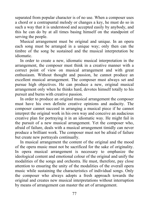separated from popular character is of no use. When a composer uses a chord or a contrapuntal melody or changes a key, he must do so in such a way that it is understood and accepted easily by anybody, and this he can do by at all times basing himself on the standpoint of serving the people.

Musical arrangement must be original and unique. In an opera each song must be arranged in a unique way; only then can the timbre of the song be sustained and the musical interpretation be idiomatic.

In order to create a new, idiomatic musical interpretation in the arrangement, the composer must think in a creative manner with a correct point of view on musical arrangement and with great enthusiasm. Without thought and passion, he cannot produce an excellent musical arrangement. The composer must always set and pursue high objectives. He can produce a new, original musical arrangement only when he thinks hard, devotes himself totally to his pursuit and burns with creative passion.

In order to produce an original musical arrangement the composer must have his own definite creative opinions and audacity. The composer cannot succeed in arranging a musical piece if he cannot interpret the original work in his own way and conceive an audacious creative plan for portraying it in an idiomatic way. He might fail in the pursuit of a new musical arrangement. Yet the composer who, afraid of failure, deals with a musical arrangement timidly can never produce a brilliant work. The composer must not be afraid of failure but create new portrayals continually.

In musical arrangement the content of the original and the mood of the opera music must not be sacrificed for the sake of originality. In opera musical arrangement is necessary to emphasize the ideological content and emotional colour of the original and unify the modalities of the songs and orchestra. He must, therefore, pay close attention to ensuring the unity of the modalities of the overall opera music while sustaining the characteristics of individual songs. Only the composer who always adopts a fresh approach towards the original and creates new musical interpretations without interruption by means of arrangement can master the art of arrangement.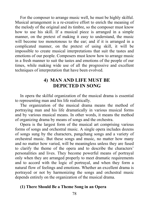For the composer to arrange music well, he must be highly skilful. Musical arrangement is a re-creative effort to enrich the meaning of the melody of the original and its timbre, so the composer must know how to use his skill. If a musical piece is arranged in a simple manner, on the pretext of making it easy to understand, the music will become too monotonous to the ear; and if it is arranged in a complicated manner, on the pretext of using skill, it will be impossible to create musical interpretations that suit the tastes and emotions of our people. Composers must know how to arrange music in a fresh manner to suit the tastes and emotions of the people of our times, while making wide use of all the progressive and excellent techniques of interpretation that have been evolved.

# **4) MAN AND LIFE MUST BE DEPICTED IN SONG**

In opera the skilful organization of the musical drama is essential to representing man and his life realistically.

The organization of the musical drama means the method of portraying man and his life dramatically in various musical forms and by various musical means. In other words, it means the method of organizing drama by means of songs and the orchestra.

Opera is the largest form of the musical art comprising various forms of songs and orchestral music. A single opera includes dozens of songs sung by the characters, pangchang songs and a variety of orchestral music. But these songs and music, no matter how many and no matter how varied, will be meaningless unless they are fused to clarify the theme of the opera and to describe the characters' personalities and lives. They become powerful means of portrayal only when they are arranged properly to meet dramatic requirements and to accord with the logic of portrayal, and when they form a natural flow of feelings and emotions. Whether an excellent drama is portrayed or not by harmonizing the songs and orchestral music depends entirely on the organization of the musical drama.

#### **(1) There Should Be a Theme Song in an Opera**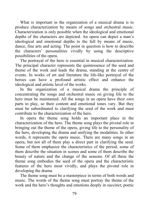What is important in the organization of a musical drama is to produce characterization by means of songs and orchestral music. Characterization is only possible when the ideological and emotional depths of the characters are depicted. An opera can depict a man's ideological and emotional depths to the full by means of music, dance, fine arts and acting. The point in question is how to describe the characters' personalities vividly by using the descriptive possibilities of the opera.

The portrayal of the hero is essential in musical characterization. The principal character represents the quintessence of the seed and theme of the work and leads the drama, standing at the centre of events. In works of art and literature the life-like portrayal of the heroes can have a profound artistic effect and enhance the ideological and artistic level of the works.

In the organization of a musical drama the principle of concentrating the songs and orchestral music on giving life to the hero must be maintained. All the songs in an opera have their own parts to play, so their content and emotional tones vary. But they must be subordinated to clarifying the seed of the work and must contribute to the characterization of the hero.

In opera the theme song holds an important place in the characterization of the hero. The theme song plays the pivotal role in bringing out the theme of the opera, giving life to the personality of the hero, developing the drama and unifying the modalities. In other words, it represents the opera music. There are many songs in an opera, but not all of them play a direct part in clarifying the seed. Some of them emphasize the characteristics of the period, some of them describe the situation in scenes and some of them describe the beauty of nature and the change of the seasons. Of all these the theme song embodies the seed of the opera and the characteristic features of the hero most vividly, and plays the pivotal role in developing the drama.

The theme song must be a masterpiece in terms of both words and music. The words of the theme song must portray the theme of the work and the hero's thoughts and emotions deeply in succinct, poetic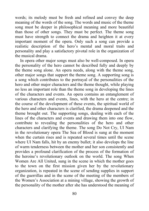words; its melody must be fresh and refined and convey the deep meaning of the words of the song. The words and music of the theme song must be deeper in philosophical meaning and more beautiful than those of other songs. They must be perfect. The theme song must have strength to connect the drama and heighten it at every important moment of the opera. Only such a song can provide a realistic description of the hero's mental and moral traits and personality and play a satisfactory pivotal role in the organization of the musical drama.

In opera other major songs must also be well-composed. In opera the personality of the hero cannot be described fully and deeply by the theme song alone. An opera needs, along with the theme song, other major songs that support the theme song. A supporting song is a song which contributes to the portrayal of the personalities of the hero and other major characters and the theme thought, while playing no less an important role than the theme song in developing the lines of the characters and events. An opera contains an entanglement of various characters and events, lines, with the hero at the centre; in the course of the development of these events, the spiritual world of the hero and other characters is clarified, the drama deepened and the theme brought out. The supporting songs, dealing with each of the lines of the characters and events and drawing them into one flow, contribute to revealing the personalities of the hero and other characters and clarifying the theme. The song Do Not Cry, Ul Nam in the revolutionary opera The Sea of Blood is sung at the moment when the curtain rises and is repeated several times until the scene where Ul Nam falls, hit by an enemy bullet; it also develops the line of warm tenderness between the mother and her son consistently and provides a profound clarification of the process of the formation of the heroine's revolutionary outlook on the world. The song When Women Are All United, sung in the scene in which the mother goes to the town on the first mission given her by the revolutionary organization, is repeated in the scene of sending supplies in support of the guerrillas and in the scene of the meeting of the members of the Women's Association at a mining village, showing the growth of the personality of the mother after she has understood the meaning of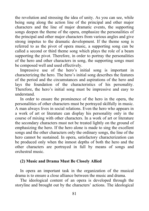the revolution and stressing the idea of unity. As you can see, while being sung along the action line of the principal and other major characters and the line of major dramatic events, the supporting songs deepen the theme of the opera, emphasize the personalities of the principal and other major characters from various angles and give strong impetus to the dramatic development. If the theme song is referred to as the pivot of opera music, a supporting song can be called a second or third theme song which plays the role of a beam supporting the pivot. Therefore, in order to portray the personalities of the hero and other characters in song, the supporting songs must be composed well and used effectively.

Impressive use of the hero's initial song is important in characterizing the hero. The hero's initial song describes the features of the period and the circumstances and aspirations of the hero and lays the foundation of the characteristics of his personality. Therefore, the hero's initial song must be impressive and easy to understand.

In order to ensure the prominence of the hero in the opera, the personalities of other characters must be portrayed skilfully in music. A man always lives in social relations. Even the hero who appears in a work of art or literature can display his personality only in the course of mixing with other characters. In a work of art or literature the secondary characters must not be treated lightly on the ground of emphasizing the hero. If the hero alone is made to sing the excellent songs and the other characters only the ordinary songs, the line of the hero cannot be sustained. In opera, satisfactory characterization can be produced only when the inmost depths of both the hero and the other characters are portrayed in full by means of songs and orchestral music.

#### **(2) Music and Drama Must Be Closely Allied**

In opera an important task in the organization of the musical drama is to ensure a close alliance between the music and drama.

The ideological content of an opera is developed through the storyline and brought out by the characters' actions. The ideological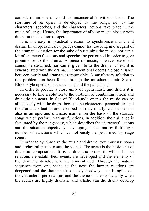content of an opera would be inconceivable without them. The storyline of an opera is developed by the songs, not by the characters' speeches, and the characters' actions take place in the midst of songs. Hence, the importance of allying music closely with drama in the creation of opera.

It is not easy in practical creation to synchronize music and drama. In an opera musical pieces cannot last too long in disregard of the dramatic situation for the sake of sustaining the music, nor can a lot of characters' actions and speeches be performed in order to give prominence to the drama. A piece of music, however excellent, cannot be sustained, nor can it give life to the drama, unless it is synchronized with the drama. In conventional operas a close alliance between music and drama was impossible. A satisfactory solution to this problem has been found through the introduction into Sea of Blood-style operas of stanzaic song and the pangchang.

In order to provide a close unity of opera music and drama it is necessary to find a solution to the problem of combining lyrical and dramatic elements. In Sea of Blood-style operas the music can be allied easily with the drama because the characters' personalities and the dramatic situation are described not only in a lyrical manner but also in an epic and dramatic manner on the basis of the stanzaic songs which perform various functions. In addition, their alliance is facilitated by the pangchang, which describes the characters' actions and the situation objectively, developing the drama by fulfilling a number of functions which cannot easily be performed by stage songs.

In order to synchronize the music and drama, you must use songs and orchestral music to suit the scenes. The scene is the basic unit of dramatic composition. It is a dramatic phase in which human relations are established, events are developed and the elements of the dramatic development are concentrated. Through the natural sequence from one scene to the next the human relations are deepened and the drama makes steady headway, thus bringing out the characters' personalities and the theme of the work. Only when the scenes are highly dramatic and artistic can the drama develop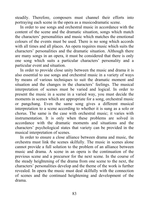steadily. Therefore, composers must channel their efforts into portraying each scene in the opera as a musicodramatic scene.

In order to use songs and orchestral music in accordance with the content of the scene and the dramatic situation, songs which match the characters' personalities and music which matches the emotional colours of the events must be used. There is no song which accords with all times and all places. An opera requires music which suits the characters' personalities and the dramatic situation. Although there are many songs in an opera, it must be considered that there is only one song which suits a particular characters' personality and a particular event and situation.

In order to provide close unity between the music and drama it is also essential to use songs and orchestral music in a variety of ways by means of various techniques to suit the dramatic moment and situation and the changes in the characters' feelings. The musical interpretation of scenes must be varied and logical. In order to present the music in a scene in a varied way, you must decide the moments in scenes which are appropriate for a song, orchestral music or pangchang. Even the same song gives a different musical interpretation to a scene according to whether it is sung as a solo or chorus. The same is the case with orchestral music; it varies with instrumentation. It is only when these problems are solved in accordance with the dramatic moments and situations and the characters' psychological states that variety can be provided in the musical interpretation of scenes.

In order to ensure a close alliance between drama and music, the orchestra must link the scenes skilfully. The music in scenes alone cannot provide a full solution to the problem of an alliance between music and drama. A scene in an opera is the continuation of the previous scene and a precursor for the next scene. In the course of the steady heightening of the drama from one scene to the next, the characters' personalities develop and the theme of the work is further revealed. In opera the music must deal skilfully with the connection of scenes and the continued heightening and development of the drama.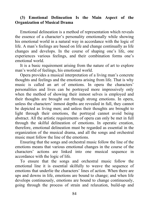#### **(3) Emotional Delineation Is the Main Aspect of the Organization of Musical Drama**

Emotional delineation is a method of representation which reveals the essence of a character's personality emotionally while showing his emotional world in a natural way in accordance with the logic of life. A man's feelings are based on life and change continually as life changes and develops. In the course of shaping one's life, one experiences various feelings, and their combination forms one's emotional world.

It is a basic requirement arising from the nature of art to explore man's world of feelings, his emotional world.

Opera provides a musical interpretation of a living man's concrete thoughts and feelings and the emotions arising from life. That is why music is called an art of emotions. In opera the characters' personalities and lives can be portrayed more impressively only when the method of showing their inmost selves is employed and their thoughts are brought out through strong emotions. In opera, unless the characters' inmost depths are revealed in full, they cannot be depicted as living men; and unless their thoughts are brought to light through their emotions, the portrayal cannot avoid being abstract. All the artistic requirements of opera can only be met in full through the skilful delineation of emotions. In operatic creation, therefore, emotional delineation must be regarded as essential in the organization of the musical drama, and all the songs and orchestral music must follow the line of the emotions.

Ensuring that the songs and orchestral music follow the line of the emotions means that various emotional changes in the course of the characters' actions are linked into one musical sequence in accordance with the logic of life.

To ensure that the songs and orchestral music follow the emotional line it is essential skilfully to weave the sequence of emotions that underlie the characters' lines of action. When there are ups and downs in life, emotions are bound to change; and when life develops continuously, emotions are bound to change continuously, going through the process of strain and relaxation, build-up and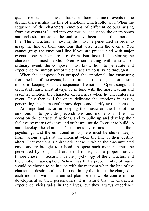qualitative leap. This means that when there is a line of events in the drama, there is also the line of emotions which follows it. When the sequence of the characters' emotions of different colours arising from the events is linked into one musical sequence, the opera songs and orchestral music can be said to have been put on the emotional line. The characters' inmost depths must be penetrated in order to grasp the line of their emotions that arise from the events. You cannot grasp the emotional line if you are preoccupied with major events alone in the interests of dramatism, instead of exploring the characters' inmost depths. Even when dealing with a small or ordinary event, the composer must know how to penetrate and experience the inmost self of the character who is living through it.

When the composer has grasped the emotional line emanating from the line of the events, he must tune all the songs and orchestral music in keeping with the sequence of emotions. Opera songs and orchestral music must always be in tune with the most leading and essential emotion the character experiences when he encounters an event. Only then will the opera delineate the emotions in music, penetrating the characters' inmost depths and clarifying the theme.

An important factor in keeping the music on the line of the emotions is to provide preconditions and moments in life that occasion the characters' actions, and to build up and develop their feelings by means of songs and orchestral music. In order to build up and develop the characters' emotions by means of music, their psychology and the emotional atmosphere must be shown deeply from various angles at the moment when the line of their destiny alters. That moment is a dramatic phase in which their accumulated emotions are brought to a head. In opera such moments must be penetrated by songs and orchestral music, and a proper musical timbre chosen to accord with the psychology of the characters and the emotional atmosphere. When I say that a proper timbre of music should be chosen to be in tune with the moment when the line of the characters' destinies alters, I do not imply that it must be changed at each moment without a unified plan for the whole course of the development of their personalities. It is natural that the characters experience vicissitudes in their lives, but they always experience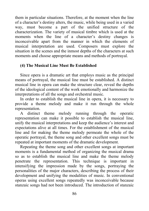them in particular situations. Therefore, at the moment when the line of a character's destiny alters, the music, while being used in a varied way, must become a part of the unified structure of the characterization. The variety of musical timbre which is used at the moments when the line of a character's destiny changes is inconceivable apart from the manner in which the elements of musical interpretation are used. Composers must explore the situation in the scenes and the inmost depths of the characters at such moments and choose appropriate means and methods of portrayal.

## **(4) The Musical Line Must Be Established**

Since opera is a dramatic art that employs music as the principal means of portrayal, the musical line must be established. A distinct musical line in opera can make the structure clear, reveal the depths of the ideological content of the work emotionally and harmonize the interpretations of all the songs and orchestral music.

In order to establish the musical line in opera, it is necessary to provide a theme melody and make it run through the whole representation.

A distinct theme melody running through the operatic representation can make it possible to establish the musical line, unify the musical interpretations and keep the audience's interest and expectations alive at all times. For the establishment of the musical line and for making the theme melody permeate the whole of the operatic portrayal, the theme song and other excellent songs must be repeated at important moments of the dramatic development.

Repeating the theme song and other excellent songs at important moments is a fundamental method of organizing the musical drama so as to establish the musical line and make the theme melody penetrate the representation. This technique is important in intensifying the impression made by the songs, portraying the personalities of the major characters, describing the process of their development and unifying the modalities of music. In conventional operas using excellent songs repeatedly was inconceivable because stanzaic songs had not been introduced. The introduction of stanzaic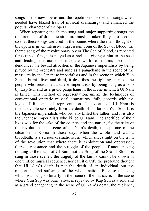songs in the new operas and the repetition of excellent songs when needed have blazed trail of musical dramaturgy and enhanced the popular character of the opera.

When repeating the theme song and major supporting songs the requirements of dramatic structure must be taken fully into account so that these songs are used in the scenes where the main thought of the opera is given intensive expression. Song of the Sea of Blood, the theme song of the revolutionary opera The Sea of Blood, is repeated three times: first, it is played as a prelude, giving a hint to the seed and leading the audience into the world of drama; second, it denounces the bestial atrocities of the Japanese imperialists by being played by the orchestra and sung as a pangchang in the scene of the massacre by the Japanese imperialists and in the scene in which Yun Sop is burnt alive; and third, it describes the fighting spirit of the people who resist the Japanese imperialists by being sung as a solo by Kap Sun and as a grand pangchang in the scene in which Ul Nam is killed. This method of representation, unlike the techniques of conventional operatic musical dramaturgy, fully accords with the logic of life and of representation. The death of Ul Nam is inconceivable separately from the death of his father, Yun Sop. It is the Japanese imperialists who brutally killed the father, and it is also the Japanese imperialists who killed Ul Nam. The sacrifice of their lives was for the sake of the country and the nation, for the sake of the revolution. The scene of Ul Nam's death, the epitome of the situation in Korea in those days when the whole land was a bloodbath, is a serious dramatic scene which sheds light on the truth of the revolution that where there is exploitation and oppression, there is resistance and the struggle of the people. If another song relating to the death of Ul Nam, not the Song of the Sea of Blood, is sung in those scenes, the tragedy of the family cannot be shown in one unified musical sequence, nor can it clarify the profound thought that Ul Nam's death is not the death of an individual but the misfortune and suffering of the whole nation. Because the song which was sung so bitterly in the scene of the massacre, in the scene where Yun Sop was burnt alive, is repeated by Kap Sun as a solo and as a grand pangchang in the scene of Ul Nam's death, the audience,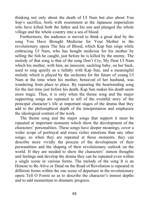thinking not only about the death of Ul Nam but also about Yun Sop's sacrifice, boils with resentment at the Japanese imperialists who have killed both the father and his son and plunged the whole village and the whole country into a sea of blood.

Furthermore, the audience is moved to think a great deal by the song You Have Brought Medicine for Your Mother in the revolutionary opera The Sea of Blood, which Kap Sun sings while embracing Ul Nam, who has bought medicine for his mother by selling the fish he caught, just before he is killed by the enemy. The melody of that song is that of the song Don't Cry, My Dear Ul Nam which his mother, with him, an innocent, suckling baby, on her back, used to sing quietly as a lullaby with Kap Sun, and a meaningful melody which is played by the orchestra for the future of young Ul Nam at the time when his mother, bereaved of her husband, was wandering from place to place. By repeating the heartrending song for the last time just before his death, Kap Sun makes his death seem more tragic. Thus, it is only when the theme song and the major supporting songs are repeated to tell of the eventful story of the principal character's life at important stages of the drama that they add to the philosophical depth of the interpretation and emphasize the ideological content of the work.

The theme song and the major songs that support it must be repeated at important moments which show the development of the characters' personalities. These songs have deeper meanings, cover a wider scope of portrayal and rouse richer emotions than any other songs; so when they are repeated at those moments, they can describe more vividly the process of the development of their personalities and the shaping of their revolutionary outlook on the world. If they are needed to show the characters' inmost thoughts and feelings and develop the drama they can be repeated even within a single scene in various forms. The melody of the song It is an Honour to Be Alive or Dead on the Road of Revolution is repeated in different forms within the one scene of departure in the revolutionary opera Tell O Forest so as to describe the character's inmost depths and to add momentum to dramatic progress.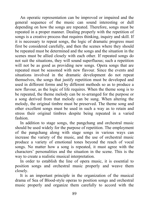An operatic representation can be improved or impaired and the general sequence of the music can sound interesting or dull depending on how the songs are repeated. Therefore, songs must be repeated in a proper manner. Dealing properly with the repetition of songs is a creative process that requires thinking, inquiry and skill. If it is necessary to repeat songs, the logic of dramatic progress must first be considered carefully, and then the scenes where they should be repeated must be determined and the songs and the situation in the scenes must be allied closely with each other. If repeated songs do not suit the situations, they will sound superfluous; such a repetition will not be as good as providing new songs. Opera songs that are repeated must be seasoned with new flavour. Since the events and situations involved in the dramatic development do not repeat themselves, the songs that justify repetition must be developed and used in different forms and by different methods so as to produce a new flavour, as the logic of life requires. When the theme song is to be repeated, the theme melody can be re-arranged for the purpose or a song derived from that melody can be sung. When altering the melody, the original timbre must be preserved. The theme song and other excellent songs must be used in such a way as to retain and stress their original timbres despite being repeated in a varied fashion.

In addition to stage songs, the pangchang and orchestral music should be used widely for the purpose of repetition. The employment of the pangchang along with stage songs in various ways can increase the variety of the music, and the use of orchestral music produce a variety of emotional tones beyond the reach of vocal songs. No matter how a song is repeated, it must agree with the characters' personalities and the situation in the scene. This is the way to create a realistic musical interpretation.

In order to establish the line of opera music, it is essential to position songs and orchestral music properly and weave them closely.

It is an important principle in the organization of the musical drama of Sea of Blood-style operas to position songs and orchestral music properly and organize them carefully to accord with the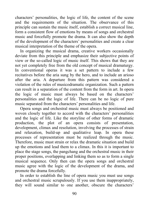characters' personalities, the logic of life, the content of the scene and the requirements of the situation. The observance of this principle can sustain the music itself, establish a correct musical line, form a consistent flow of emotions by means of songs and orchestral music and forcefully promote the drama. It can also show the depth of the development of the characters' personalities and create a clear musical interpretation of the theme of the opera.

In organizing the musical drama, creative workers occasionally deviate from this principle and emphasize their subjective points of view or the so-called logic of music itself. This shows that they are not yet completely free from the old concept of musical dramaturgy. In conventional operas it was a set pattern to include a few recitatives before the aria sung by the hero, and to include an arioso after the aria. A departure from this pattern was considered a violation of the rules of musicodramatic organization. Such a pattern can result in a separation of the content from the form in art. In opera the logic of music must always be based on the characters' personalities and the logic of life. There can be no logic of pure music separated from the characters' personalities and life.

Opera songs and orchestral music must always be positioned and woven closely together to accord with the characters' personalities and the logic of life. Like the storyline of other forms of dramatic production, the plot of an opera consists of presentation, development, climax and resolution, involving the processes of strain and relaxation, build-up and qualitative leap. In opera these processes of representation must be realized through the music. Therefore, music must strain or relax the dramatic situation and build up the emotions and lead them to a climax. In this it is important to place the stage songs, the pangchang and the orchestral music in their proper positions, overlapping and linking them so as to form a single musical sequence. Only then can the opera songs and orchestral music agree with the logic of the development of the drama, and promote the drama forcefully.

In order to establish the line of opera music you must use songs and orchestral music scrupulously. If you use them inappropriately, they will sound similar to one another, obscure the characters'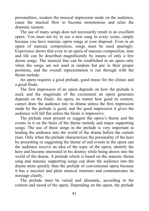personalities, weaken the musical impression made on the audience, cause the musical flow to become monotonous and relax the dramatic tension.

The use of many songs does not necessarily result in an excellent opera. You must not try to use a new song in every scene, simply because you have stanzaic opera songs at your disposal. Even in an opera of stanzaic composition, songs must be used sparingly. Experience shows that even in an opera of stanzaic composition, man and life can be described magnificently by means of only a few dozen songs. The musical line can be established in an opera only when the songs are not used at random but put in their proper positions, and the overall representation is run through with the theme melody.

An opera requires a good prelude, good music for the climax and a good finale.

The first impression of an opera depends on how the prelude is used, and the magnitude of the excitement an opera generates depends on the finale. An opera, no matter how good its content, cannot draw the audience into its drama unless the first impression made by the prelude is good; and the good impression it gives the audience will fall flat unless the finale is impressive.

The prelude must present or suggest the opera's theme and the events in it on the basis of the theme melody and major supporting songs. The use of these songs in the prelude is very important in leading the audience into the world of the drama before the curtain rises. Only when the prelude characterizes the personality of the hero by presenting or suggesting the theme of and events in the opera can the audience receive an idea of the topic of the opera, identify the hero and become interested in his destiny while being drawn into the world of the drama. A prelude which is based on the stanzaic theme song and stanzaic supporting songs can draw the audience into the drama more quickly than the prelude of conventional opera because it has a succinct and plain musical structure and communicates its message clearly.

The prelude must be varied and idiomatic, according to the content and mood of the opera. Depending on the opera, the prelude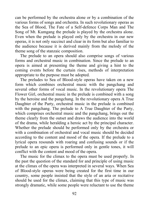can be performed by the orchestra alone or by a combination of the various forms of songs and orchestra. In such revolutionary operas as the Sea of Blood, The Fate of a Self-defence Corps Man and The Song of Mt. Kumgang the prelude is played by the orchestra alone. Even when the prelude is played only by the orchestra in our new operas, it is not only succinct and clear in its form but also familiar to the audience because it is derived mainly from the melody of the theme song of the stanzaic composition.

The prelude to an opera should also comprise songs of various forms and orchestral music in combination. Since the prelude to an opera is aimed at presenting the theme and giving a hint to the coming events before the curtain rises, methods of interpretation appropriate to the purpose must be adopted.

The preludes to Sea of Blood-style operas have taken on a new form which combines orchestral music with the pangchang and several other forms of vocal music. In the revolutionary opera The Flower Girl, orchestral music in the prelude is combined with a song by the heroine and the pangchang. In the revolutionary opera A True Daughter of the Party, orchestral music in the prelude is combined with the pangchang. The prelude to A True Daughter of the Party, which comprises orchestral music and the pangchang, brings out the theme clearly from the outset and draws the audience into the world of the drama, while heralding a heroic act by the principal character. Whether the prelude should be performed only by the orchestra or with a combination of orchestral and vocal music should be decided according to the content and mood of the opera. If the prelude to a lyrical opera resounds with roaring and confusing sounds or if the prelude to an epic opera is performed only in gentle tones, it will conflict with the content and mood of the opera.

The music for the climax to the opera must be used properly. In the past the question of the standard for and principle of using music at the climax of the opera was interpreted in several ways. When Sea of Blood-style operas were being created for the first time in our country, some people insisted that the style of an aria or recitative should be used for the climax, claiming that this type of music was strongly dramatic, while some people were reluctant to use the theme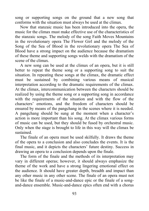song or supporting songs on the ground that a new song that conforms with the situation must always be used at the climax.

Now that stanzaic music has been introduced into the opera, the music for the climax must make effective use of the characteristics of the stanzaic songs. The melody of the song Faith Moves Mountains in the revolutionary opera The Flower Girl and the melody of the Song of the Sea of Blood in the revolutionary opera The Sea of Blood have a strong impact on the audience because the dramatism of these theme and supporting songs welds with the dramatism of the scene of the climax.

A new song can be used at the climax of an opera, but it is still better to repeat the theme song or a supporting song to suit the situation. In repeating these songs at the climax, the dramatic effect must be sustained by combining various means of musical interpretation according to the dramatic requirements of the climax. At the climax, intercommunication between the characters should be realized by using the theme song or a supporting song in accordance with the requirements of the situation and with the flow of the characters' emotions, and the freedom of characters should be ensured by means of the pangchang in the scenes where it is needed. A pangchang should be sung at the moment when a character's action is more important than his song. At the climax various forms of music can be used, but they should be fused by orchestral music. Only when the stage is brought to life in this way will the climax be sustained.

The finale of an opera must be used skilfully. It draws the theme of the opera to a conclusion and also concludes the events. It is the final music, and it depicts the characters' future destiny. Success in drawing an opera to a conclusion depends upon the finale.

The form of the finale and the methods of its interpretation may vary in different operas; however, it should always emphasize the theme of the work and have a strong lingering emotional effect on the audience. It should have greater depth, breadth and impact than any other music in any other scene. The finale of an opera must not be like the finale of a music-and-dance epic or the finale of a songand-dance ensemble. Music-and-dance epics often end with a chorus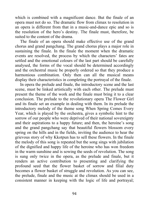which is combined with a magnificent dance. But the finale of an opera must not do so. The dramatic flow from climax to resolution in an opera is different from that in a music-and-dance epic and so is the resolution of the hero's destiny. The finale must, therefore, be suited to the content of the drama.

The finale of an opera should make effective use of the grand chorus and grand pangchang. The grand chorus plays a major role in sustaining the finale. In the finale the moment when the dramatic events are resolved, the process by which the characters' fates are settled and the emotional colours of the last part should be carefully analysed, the forms of the vocal should be determined accordingly and the orchestral music be properly ordered so that they produce a harmonious combination. Only then can all the musical means display their characteristics in completing the portrayal of the finale.

In opera the prelude and finale, the introductory scene and the last scene, must be linked artistically with each other. The prelude must present the theme of the work and the finale must bring it to a clear conclusion. The prelude to the revolutionary opera The Flower Girl and its finale set an example in dealing with them. In its prelude the introductory melody of the theme song When Spring Comes Every Year, which is played by the orchestra, gives a symbolic hint to the sorrow of our people who were deprived of their national sovereignty and their aspirations to a happy future; and then, the heroine's song and the grand pangchang say that beautiful flowers blossom every spring on the hills and in the fields, inviting the audience to hear the grievous story of why Kkotpun has to sell these flowers. In the finale the melody of this song is repeated but the song sings with jubilation of the dignified and happy life of the heroine who has won freedom in the warm sunshine and is sowing the seeds of revolution. The song is sung only twice in the opera, as the prelude and finale, but it renders an active contribution to presenting and clarifying the profound seed that the flower basket of sorrow and filial duty becomes a flower basket of struggle and revolution. As you can see, the prelude, finale and the music at the climax should be used in a consistent manner in keeping with the logic of life and portrayal;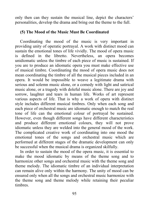only then can they sustain the musical line, depict the characters' personalities, develop the drama and bring out the theme to the full.

#### **(5) The Mood of the Music Must Be Coordinated**

Coordinating the mood of the music is very important in providing unity of operatic portrayal. A work with distinct mood can sustain the emotional tones of life vividly. The mood of opera music is defined in the libretto. Nevertheless, an opera becomes unidiomatic unless the timbre of each piece of music is sustained. If you are to produce an idiomatic opera you must make effective use of musical timbre. Coordinating the mood of opera music does not mean coordinating the timbre of all the musical pieces included in an opera. It would be impossible to weave a legitimate drama with serious and solemn music alone, or a comedy with light and satirical music alone, or a tragedy with doleful music alone. There are joy and sorrow, laughter and tears in human life. Works of art represent various aspects of life. That is why a work of opera with distinct style includes different musical timbres. Only when each song and each piece of orchestral music are idiomatic enough to match the real tone of life can the emotional colour of portrayal be sustained. However, even though different songs have different characteristics and produce different emotional colours, they will not prove idiomatic unless they are welded into the general mood of the work. The complicated creative work of coordinating into one mood the emotional tones of the songs and orchestral music which are performed at different stages of the dramatic development can only be successful when the musical drama is organized skilfully.

In order to sustain the mood of the opera music, it is essential to make the mood idiomatic by means of the theme song and to harmonize other songs and orchestral music with the theme song and theme melody. The idiomatic timbre of an individual interpretation can remain alive only within the harmony. The unity of mood can be ensured only when all the songs and orchestral music harmonize with the theme song and theme melody while retaining their peculiar timbres.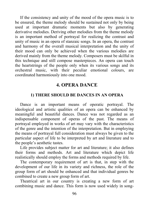If the consistency and unity of the mood of the opera music is to be ensured, the theme melody should be sustained not only by being used at important dramatic moments but also by generating derivative melodies. Deriving other melodies from the theme melody is an important method of portrayal for realizing the contrast and unity of music in an opera of stanzaic songs. In an opera, the contrast and harmony of the overall musical interpretation and the unity of their mood can only be achieved when the various melodies are derived mainly from the theme melody. Composers must be skilful in this technique and still compose masterpieces. An opera can touch the heartstrings of the people only when its various songs and its orchestral music, with their peculiar emotional colours, are coordinated harmoniously into one mood.

# **4. OPERA DANCE**

## **1) THERE SHOULD BE DANCES IN AN OPERA**

Dance is an important means of operatic portrayal. The ideological and artistic qualities of an opera can be enhanced by meaningful and beautiful dances. Dance was not regarded as an indispensable component of operas of the past. The means of portrayal employed in works of art may vary with the characteristics of the genre and the intention of the interpretation. But in employing the means of portrayal full consideration must always be given to the particular aspect of life to be interpreted by art and literature and to the people's aesthetic tastes.

Life provides subject matter for art and literature; it also defines their forms and methods. Art and literature which depict life realistically should employ the forms and methods required by life.

The contemporary requirement of art is that, in step with the development of our life in its variety and richness, the role of the group form of art should be enhanced and that individual genres be combined to create a new group form of art.

Theatrical art in our country is creating a new form of art combining music and dance. This form is now used widely in song